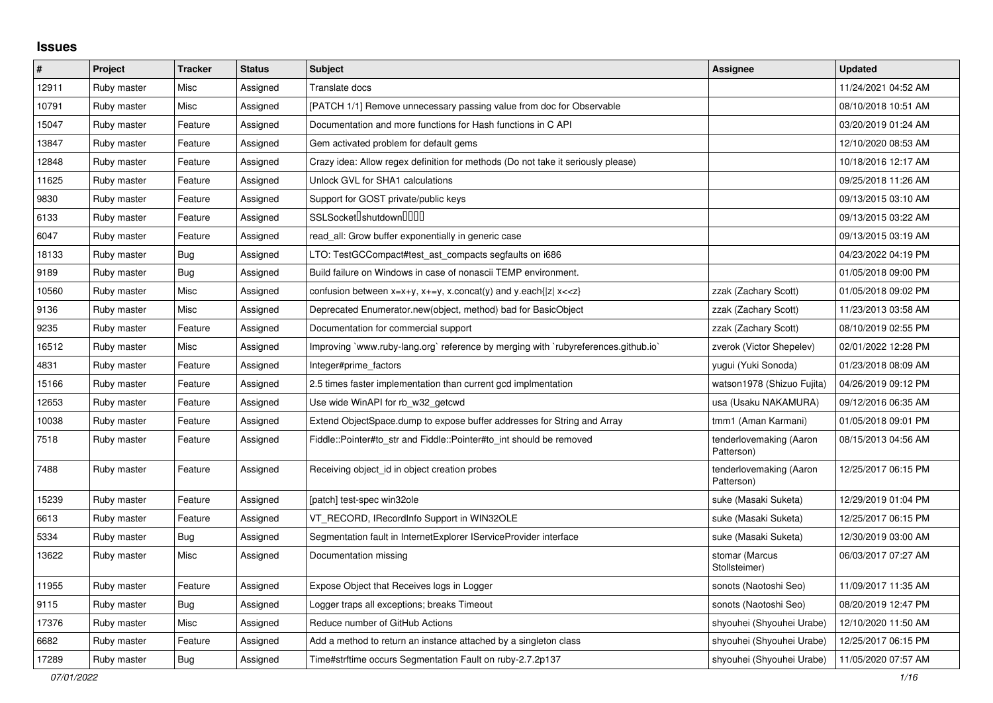## **Issues**

| $\pmb{\#}$ | Project     | <b>Tracker</b> | <b>Status</b> | <b>Subject</b>                                                                                                                          | Assignee                              | <b>Updated</b>      |
|------------|-------------|----------------|---------------|-----------------------------------------------------------------------------------------------------------------------------------------|---------------------------------------|---------------------|
| 12911      | Ruby master | Misc           | Assigned      | Translate docs                                                                                                                          |                                       | 11/24/2021 04:52 AM |
| 10791      | Ruby master | Misc           | Assigned      | [PATCH 1/1] Remove unnecessary passing value from doc for Observable                                                                    |                                       | 08/10/2018 10:51 AM |
| 15047      | Ruby master | Feature        | Assigned      | Documentation and more functions for Hash functions in C API                                                                            |                                       | 03/20/2019 01:24 AM |
| 13847      | Ruby master | Feature        | Assigned      | Gem activated problem for default gems                                                                                                  |                                       | 12/10/2020 08:53 AM |
| 12848      | Ruby master | Feature        | Assigned      | Crazy idea: Allow regex definition for methods (Do not take it seriously please)                                                        |                                       | 10/18/2016 12:17 AM |
| 11625      | Ruby master | Feature        | Assigned      | Unlock GVL for SHA1 calculations                                                                                                        |                                       | 09/25/2018 11:26 AM |
| 9830       | Ruby master | Feature        | Assigned      | Support for GOST private/public keys                                                                                                    |                                       | 09/13/2015 03:10 AM |
| 6133       | Ruby master | Feature        | Assigned      | SSLSocket <sup>[</sup> ]shutdown <sup>[][][]</sup>                                                                                      |                                       | 09/13/2015 03:22 AM |
| 6047       | Ruby master | Feature        | Assigned      | read all: Grow buffer exponentially in generic case                                                                                     |                                       | 09/13/2015 03:19 AM |
| 18133      | Ruby master | <b>Bug</b>     | Assigned      | LTO: TestGCCompact#test_ast_compacts segfaults on i686                                                                                  |                                       | 04/23/2022 04:19 PM |
| 9189       | Ruby master | Bug            | Assigned      | Build failure on Windows in case of nonascii TEMP environment.                                                                          |                                       | 01/05/2018 09:00 PM |
| 10560      | Ruby master | Misc           | Assigned      | confusion between x=x+y, x+=y, x.concat(y) and y.each{ z  x< <z}< td=""><td>zzak (Zachary Scott)</td><td>01/05/2018 09:02 PM</td></z}<> | zzak (Zachary Scott)                  | 01/05/2018 09:02 PM |
| 9136       | Ruby master | Misc           | Assigned      | Deprecated Enumerator.new(object, method) bad for BasicObject                                                                           | zzak (Zachary Scott)                  | 11/23/2013 03:58 AM |
| 9235       | Ruby master | Feature        | Assigned      | Documentation for commercial support                                                                                                    | zzak (Zachary Scott)                  | 08/10/2019 02:55 PM |
| 16512      | Ruby master | Misc           | Assigned      | Improving `www.ruby-lang.org` reference by merging with `rubyreferences.github.io`                                                      | zverok (Victor Shepelev)              | 02/01/2022 12:28 PM |
| 4831       | Ruby master | Feature        | Assigned      | Integer#prime_factors                                                                                                                   | yugui (Yuki Sonoda)                   | 01/23/2018 08:09 AM |
| 15166      | Ruby master | Feature        | Assigned      | 2.5 times faster implementation than current gcd implmentation                                                                          | watson1978 (Shizuo Fujita)            | 04/26/2019 09:12 PM |
| 12653      | Ruby master | Feature        | Assigned      | Use wide WinAPI for rb w32 getcwd                                                                                                       | usa (Usaku NAKAMURA)                  | 09/12/2016 06:35 AM |
| 10038      | Ruby master | Feature        | Assigned      | Extend ObjectSpace.dump to expose buffer addresses for String and Array                                                                 | tmm1 (Aman Karmani)                   | 01/05/2018 09:01 PM |
| 7518       | Ruby master | Feature        | Assigned      | Fiddle::Pointer#to_str and Fiddle::Pointer#to_int should be removed                                                                     | tenderlovemaking (Aaron<br>Patterson) | 08/15/2013 04:56 AM |
| 7488       | Ruby master | Feature        | Assigned      | Receiving object_id in object creation probes                                                                                           | tenderlovemaking (Aaron<br>Patterson) | 12/25/2017 06:15 PM |
| 15239      | Ruby master | Feature        | Assigned      | [patch] test-spec win32ole                                                                                                              | suke (Masaki Suketa)                  | 12/29/2019 01:04 PM |
| 6613       | Ruby master | Feature        | Assigned      | VT_RECORD, IRecordInfo Support in WIN32OLE                                                                                              | suke (Masaki Suketa)                  | 12/25/2017 06:15 PM |
| 5334       | Ruby master | Bug            | Assigned      | Segmentation fault in InternetExplorer IServiceProvider interface                                                                       | suke (Masaki Suketa)                  | 12/30/2019 03:00 AM |
| 13622      | Ruby master | Misc           | Assigned      | Documentation missing                                                                                                                   | stomar (Marcus<br>Stollsteimer)       | 06/03/2017 07:27 AM |
| 11955      | Ruby master | Feature        | Assigned      | Expose Object that Receives logs in Logger                                                                                              | sonots (Naotoshi Seo)                 | 11/09/2017 11:35 AM |
| 9115       | Ruby master | Bug            | Assigned      | Logger traps all exceptions; breaks Timeout                                                                                             | sonots (Naotoshi Seo)                 | 08/20/2019 12:47 PM |
| 17376      | Ruby master | Misc           | Assigned      | Reduce number of GitHub Actions                                                                                                         | shyouhei (Shyouhei Urabe)             | 12/10/2020 11:50 AM |
| 6682       | Ruby master | Feature        | Assigned      | Add a method to return an instance attached by a singleton class                                                                        | shyouhei (Shyouhei Urabe)             | 12/25/2017 06:15 PM |
| 17289      | Ruby master | Bug            | Assigned      | Time#strftime occurs Segmentation Fault on ruby-2.7.2p137                                                                               | shyouhei (Shyouhei Urabe)             | 11/05/2020 07:57 AM |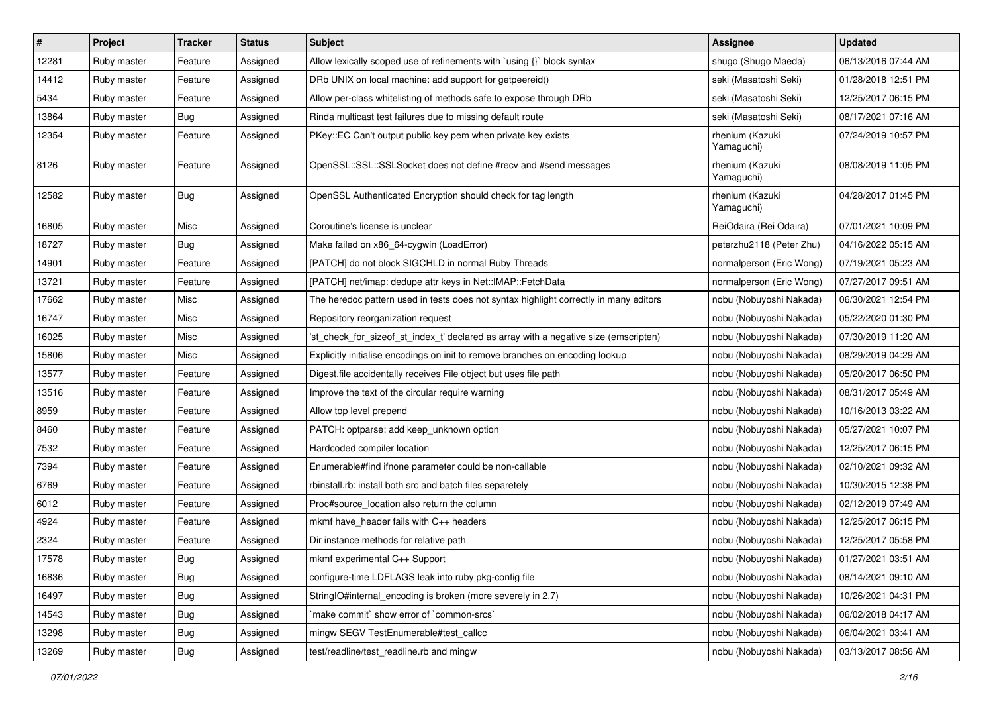| $\sharp$ | Project     | <b>Tracker</b> | <b>Status</b> | Subject                                                                               | <b>Assignee</b>               | <b>Updated</b>      |
|----------|-------------|----------------|---------------|---------------------------------------------------------------------------------------|-------------------------------|---------------------|
| 12281    | Ruby master | Feature        | Assigned      | Allow lexically scoped use of refinements with `using {}` block syntax                | shugo (Shugo Maeda)           | 06/13/2016 07:44 AM |
| 14412    | Ruby master | Feature        | Assigned      | DRb UNIX on local machine: add support for getpeereid()                               | seki (Masatoshi Seki)         | 01/28/2018 12:51 PM |
| 5434     | Ruby master | Feature        | Assigned      | Allow per-class whitelisting of methods safe to expose through DRb                    | seki (Masatoshi Seki)         | 12/25/2017 06:15 PM |
| 13864    | Ruby master | <b>Bug</b>     | Assigned      | Rinda multicast test failures due to missing default route                            | seki (Masatoshi Seki)         | 08/17/2021 07:16 AM |
| 12354    | Ruby master | Feature        | Assigned      | PKey::EC Can't output public key pem when private key exists                          | rhenium (Kazuki<br>Yamaguchi) | 07/24/2019 10:57 PM |
| 8126     | Ruby master | Feature        | Assigned      | OpenSSL::SSL::SSLSocket does not define #recv and #send messages                      | rhenium (Kazuki<br>Yamaguchi) | 08/08/2019 11:05 PM |
| 12582    | Ruby master | <b>Bug</b>     | Assigned      | OpenSSL Authenticated Encryption should check for tag length                          | rhenium (Kazuki<br>Yamaguchi) | 04/28/2017 01:45 PM |
| 16805    | Ruby master | Misc           | Assigned      | Coroutine's license is unclear                                                        | ReiOdaira (Rei Odaira)        | 07/01/2021 10:09 PM |
| 18727    | Ruby master | <b>Bug</b>     | Assigned      | Make failed on x86_64-cygwin (LoadError)                                              | peterzhu2118 (Peter Zhu)      | 04/16/2022 05:15 AM |
| 14901    | Ruby master | Feature        | Assigned      | [PATCH] do not block SIGCHLD in normal Ruby Threads                                   | normalperson (Eric Wong)      | 07/19/2021 05:23 AM |
| 13721    | Ruby master | Feature        | Assigned      | [PATCH] net/imap: dedupe attr keys in Net::IMAP::FetchData                            | normalperson (Eric Wong)      | 07/27/2017 09:51 AM |
| 17662    | Ruby master | Misc           | Assigned      | The heredoc pattern used in tests does not syntax highlight correctly in many editors | nobu (Nobuyoshi Nakada)       | 06/30/2021 12:54 PM |
| 16747    | Ruby master | Misc           | Assigned      | Repository reorganization request                                                     | nobu (Nobuyoshi Nakada)       | 05/22/2020 01:30 PM |
| 16025    | Ruby master | Misc           | Assigned      | 'st_check_for_sizeof_st_index_t' declared as array with a negative size (emscripten)  | nobu (Nobuyoshi Nakada)       | 07/30/2019 11:20 AM |
| 15806    | Ruby master | Misc           | Assigned      | Explicitly initialise encodings on init to remove branches on encoding lookup         | nobu (Nobuyoshi Nakada)       | 08/29/2019 04:29 AM |
| 13577    | Ruby master | Feature        | Assigned      | Digest file accidentally receives File object but uses file path                      | nobu (Nobuyoshi Nakada)       | 05/20/2017 06:50 PM |
| 13516    | Ruby master | Feature        | Assigned      | Improve the text of the circular require warning                                      | nobu (Nobuyoshi Nakada)       | 08/31/2017 05:49 AM |
| 8959     | Ruby master | Feature        | Assigned      | Allow top level prepend                                                               | nobu (Nobuyoshi Nakada)       | 10/16/2013 03:22 AM |
| 8460     | Ruby master | Feature        | Assigned      | PATCH: optparse: add keep_unknown option                                              | nobu (Nobuyoshi Nakada)       | 05/27/2021 10:07 PM |
| 7532     | Ruby master | Feature        | Assigned      | Hardcoded compiler location                                                           | nobu (Nobuyoshi Nakada)       | 12/25/2017 06:15 PM |
| 7394     | Ruby master | Feature        | Assigned      | Enumerable#find ifnone parameter could be non-callable                                | nobu (Nobuyoshi Nakada)       | 02/10/2021 09:32 AM |
| 6769     | Ruby master | Feature        | Assigned      | rbinstall.rb: install both src and batch files separetely                             | nobu (Nobuyoshi Nakada)       | 10/30/2015 12:38 PM |
| 6012     | Ruby master | Feature        | Assigned      | Proc#source_location also return the column                                           | nobu (Nobuyoshi Nakada)       | 02/12/2019 07:49 AM |
| 4924     | Ruby master | Feature        | Assigned      | mkmf have_header fails with C++ headers                                               | nobu (Nobuyoshi Nakada)       | 12/25/2017 06:15 PM |
| 2324     | Ruby master | Feature        | Assigned      | Dir instance methods for relative path                                                | nobu (Nobuyoshi Nakada)       | 12/25/2017 05:58 PM |
| 17578    | Ruby master | Bug            | Assigned      | mkmf experimental C++ Support                                                         | nobu (Nobuyoshi Nakada)       | 01/27/2021 03:51 AM |
| 16836    | Ruby master | <b>Bug</b>     | Assigned      | configure-time LDFLAGS leak into ruby pkg-config file                                 | nobu (Nobuyoshi Nakada)       | 08/14/2021 09:10 AM |
| 16497    | Ruby master | <b>Bug</b>     | Assigned      | StringIO#internal encoding is broken (more severely in 2.7)                           | nobu (Nobuyoshi Nakada)       | 10/26/2021 04:31 PM |
| 14543    | Ruby master | <b>Bug</b>     | Assigned      | 'make commit' show error of 'common-srcs'                                             | nobu (Nobuyoshi Nakada)       | 06/02/2018 04:17 AM |
| 13298    | Ruby master | <b>Bug</b>     | Assigned      | mingw SEGV TestEnumerable#test callcc                                                 | nobu (Nobuyoshi Nakada)       | 06/04/2021 03:41 AM |
| 13269    | Ruby master | <b>Bug</b>     | Assigned      | test/readline/test_readline.rb and mingw                                              | nobu (Nobuyoshi Nakada)       | 03/13/2017 08:56 AM |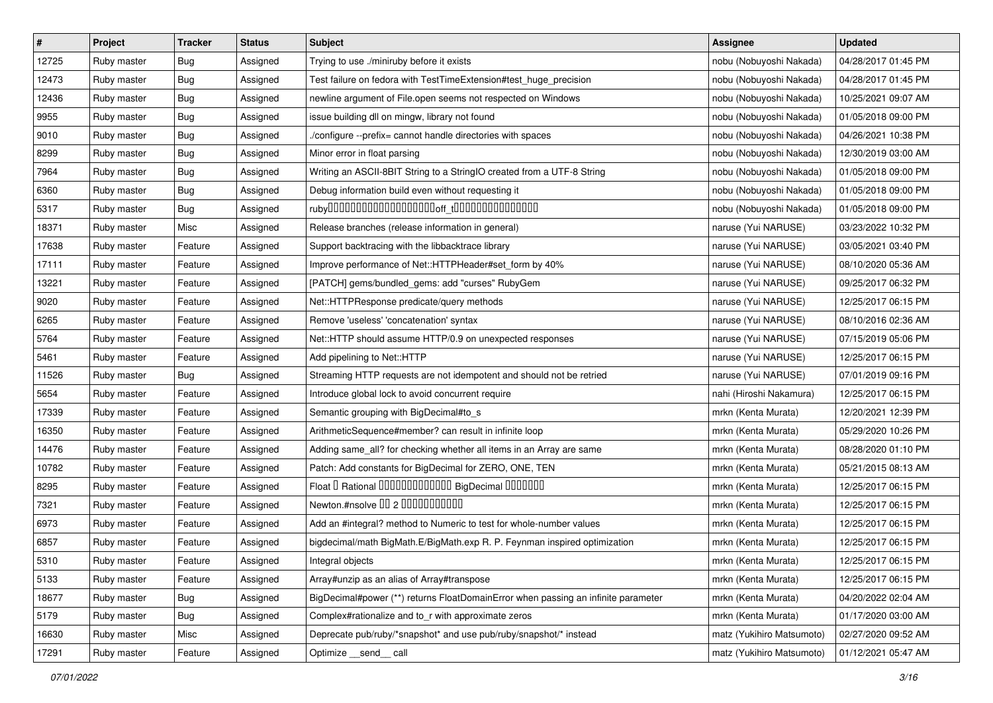| #     | Project     | <b>Tracker</b> | <b>Status</b> | Subject                                                                           | <b>Assignee</b>           | <b>Updated</b>      |
|-------|-------------|----------------|---------------|-----------------------------------------------------------------------------------|---------------------------|---------------------|
| 12725 | Ruby master | <b>Bug</b>     | Assigned      | Trying to use ./miniruby before it exists                                         | nobu (Nobuyoshi Nakada)   | 04/28/2017 01:45 PM |
| 12473 | Ruby master | <b>Bug</b>     | Assigned      | Test failure on fedora with TestTimeExtension#test_huge_precision                 | nobu (Nobuyoshi Nakada)   | 04/28/2017 01:45 PM |
| 12436 | Ruby master | <b>Bug</b>     | Assigned      | newline argument of File.open seems not respected on Windows                      | nobu (Nobuyoshi Nakada)   | 10/25/2021 09:07 AM |
| 9955  | Ruby master | Bug            | Assigned      | issue building dll on mingw, library not found                                    | nobu (Nobuyoshi Nakada)   | 01/05/2018 09:00 PM |
| 9010  | Ruby master | Bug            | Assigned      | /configure --prefix= cannot handle directories with spaces                        | nobu (Nobuyoshi Nakada)   | 04/26/2021 10:38 PM |
| 8299  | Ruby master | Bug            | Assigned      | Minor error in float parsing                                                      | nobu (Nobuyoshi Nakada)   | 12/30/2019 03:00 AM |
| 7964  | Ruby master | Bug            | Assigned      | Writing an ASCII-8BIT String to a StringIO created from a UTF-8 String            | nobu (Nobuyoshi Nakada)   | 01/05/2018 09:00 PM |
| 6360  | Ruby master | <b>Bug</b>     | Assigned      | Debug information build even without requesting it                                | nobu (Nobuyoshi Nakada)   | 01/05/2018 09:00 PM |
| 5317  | Ruby master | <b>Bug</b>     | Assigned      |                                                                                   | nobu (Nobuyoshi Nakada)   | 01/05/2018 09:00 PM |
| 18371 | Ruby master | Misc           | Assigned      | Release branches (release information in general)                                 | naruse (Yui NARUSE)       | 03/23/2022 10:32 PM |
| 17638 | Ruby master | Feature        | Assigned      | Support backtracing with the libbacktrace library                                 | naruse (Yui NARUSE)       | 03/05/2021 03:40 PM |
| 17111 | Ruby master | Feature        | Assigned      | Improve performance of Net::HTTPHeader#set_form by 40%                            | naruse (Yui NARUSE)       | 08/10/2020 05:36 AM |
| 13221 | Ruby master | Feature        | Assigned      | [PATCH] gems/bundled_gems: add "curses" RubyGem                                   | naruse (Yui NARUSE)       | 09/25/2017 06:32 PM |
| 9020  | Ruby master | Feature        | Assigned      | Net::HTTPResponse predicate/query methods                                         | naruse (Yui NARUSE)       | 12/25/2017 06:15 PM |
| 6265  | Ruby master | Feature        | Assigned      | Remove 'useless' 'concatenation' syntax                                           | naruse (Yui NARUSE)       | 08/10/2016 02:36 AM |
| 5764  | Ruby master | Feature        | Assigned      | Net::HTTP should assume HTTP/0.9 on unexpected responses                          | naruse (Yui NARUSE)       | 07/15/2019 05:06 PM |
| 5461  | Ruby master | Feature        | Assigned      | Add pipelining to Net::HTTP                                                       | naruse (Yui NARUSE)       | 12/25/2017 06:15 PM |
| 11526 | Ruby master | Bug            | Assigned      | Streaming HTTP requests are not idempotent and should not be retried              | naruse (Yui NARUSE)       | 07/01/2019 09:16 PM |
| 5654  | Ruby master | Feature        | Assigned      | Introduce global lock to avoid concurrent require                                 | nahi (Hiroshi Nakamura)   | 12/25/2017 06:15 PM |
| 17339 | Ruby master | Feature        | Assigned      | Semantic grouping with BigDecimal#to_s                                            | mrkn (Kenta Murata)       | 12/20/2021 12:39 PM |
| 16350 | Ruby master | Feature        | Assigned      | ArithmeticSequence#member? can result in infinite loop                            | mrkn (Kenta Murata)       | 05/29/2020 10:26 PM |
| 14476 | Ruby master | Feature        | Assigned      | Adding same_all? for checking whether all items in an Array are same              | mrkn (Kenta Murata)       | 08/28/2020 01:10 PM |
| 10782 | Ruby master | Feature        | Assigned      | Patch: Add constants for BigDecimal for ZERO, ONE, TEN                            | mrkn (Kenta Murata)       | 05/21/2015 08:13 AM |
| 8295  | Ruby master | Feature        | Assigned      | Float I Rational 0000000000000 BigDecimal 0000000                                 | mrkn (Kenta Murata)       | 12/25/2017 06:15 PM |
| 7321  | Ruby master | Feature        | Assigned      | Newton.#nsolve 00 2 00000000000                                                   | mrkn (Kenta Murata)       | 12/25/2017 06:15 PM |
| 6973  | Ruby master | Feature        | Assigned      | Add an #integral? method to Numeric to test for whole-number values               | mrkn (Kenta Murata)       | 12/25/2017 06:15 PM |
| 6857  | Ruby master | Feature        | Assigned      | bigdecimal/math BigMath.E/BigMath.exp R. P. Feynman inspired optimization         | mrkn (Kenta Murata)       | 12/25/2017 06:15 PM |
| 5310  | Ruby master | Feature        | Assigned      | Integral objects                                                                  | mrkn (Kenta Murata)       | 12/25/2017 06:15 PM |
| 5133  | Ruby master | Feature        | Assigned      | Array#unzip as an alias of Array#transpose                                        | mrkn (Kenta Murata)       | 12/25/2017 06:15 PM |
| 18677 | Ruby master | <b>Bug</b>     | Assigned      | BigDecimal#power (**) returns FloatDomainError when passing an infinite parameter | mrkn (Kenta Murata)       | 04/20/2022 02:04 AM |
| 5179  | Ruby master | <b>Bug</b>     | Assigned      | Complex#rationalize and to_r with approximate zeros                               | mrkn (Kenta Murata)       | 01/17/2020 03:00 AM |
| 16630 | Ruby master | Misc           | Assigned      | Deprecate pub/ruby/*snapshot* and use pub/ruby/snapshot/* instead                 | matz (Yukihiro Matsumoto) | 02/27/2020 09:52 AM |
| 17291 | Ruby master | Feature        | Assigned      | Optimize __send__ call                                                            | matz (Yukihiro Matsumoto) | 01/12/2021 05:47 AM |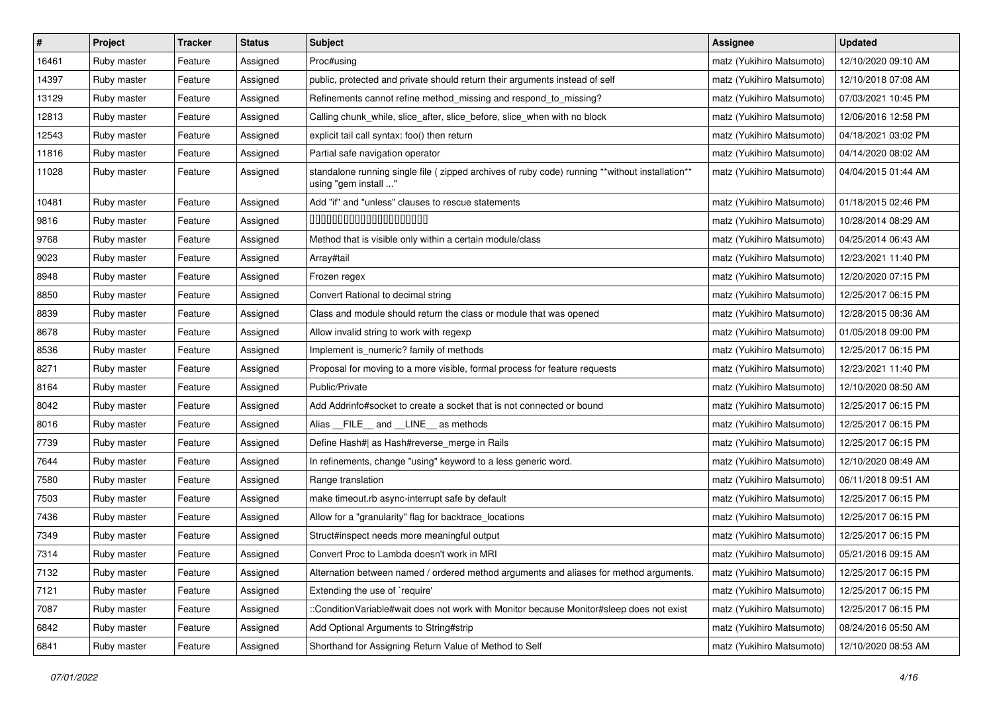| $\vert$ # | Project     | <b>Tracker</b> | <b>Status</b> | <b>Subject</b>                                                                                                          | Assignee                  | <b>Updated</b>      |
|-----------|-------------|----------------|---------------|-------------------------------------------------------------------------------------------------------------------------|---------------------------|---------------------|
| 16461     | Ruby master | Feature        | Assigned      | Proc#using                                                                                                              | matz (Yukihiro Matsumoto) | 12/10/2020 09:10 AM |
| 14397     | Ruby master | Feature        | Assigned      | public, protected and private should return their arguments instead of self                                             | matz (Yukihiro Matsumoto) | 12/10/2018 07:08 AM |
| 13129     | Ruby master | Feature        | Assigned      | Refinements cannot refine method missing and respond to missing?                                                        | matz (Yukihiro Matsumoto) | 07/03/2021 10:45 PM |
| 12813     | Ruby master | Feature        | Assigned      | Calling chunk_while, slice_after, slice_before, slice_when with no block                                                | matz (Yukihiro Matsumoto) | 12/06/2016 12:58 PM |
| 12543     | Ruby master | Feature        | Assigned      | explicit tail call syntax: foo() then return                                                                            | matz (Yukihiro Matsumoto) | 04/18/2021 03:02 PM |
| 11816     | Ruby master | Feature        | Assigned      | Partial safe navigation operator                                                                                        | matz (Yukihiro Matsumoto) | 04/14/2020 08:02 AM |
| 11028     | Ruby master | Feature        | Assigned      | standalone running single file ( zipped archives of ruby code) running **without installation**<br>using "gem install " | matz (Yukihiro Matsumoto) | 04/04/2015 01:44 AM |
| 10481     | Ruby master | Feature        | Assigned      | Add "if" and "unless" clauses to rescue statements                                                                      | matz (Yukihiro Matsumoto) | 01/18/2015 02:46 PM |
| 9816      | Ruby master | Feature        | Assigned      | 00000000000000000000                                                                                                    | matz (Yukihiro Matsumoto) | 10/28/2014 08:29 AM |
| 9768      | Ruby master | Feature        | Assigned      | Method that is visible only within a certain module/class                                                               | matz (Yukihiro Matsumoto) | 04/25/2014 06:43 AM |
| 9023      | Ruby master | Feature        | Assigned      | Array#tail                                                                                                              | matz (Yukihiro Matsumoto) | 12/23/2021 11:40 PM |
| 8948      | Ruby master | Feature        | Assigned      | Frozen regex                                                                                                            | matz (Yukihiro Matsumoto) | 12/20/2020 07:15 PM |
| 8850      | Ruby master | Feature        | Assigned      | Convert Rational to decimal string                                                                                      | matz (Yukihiro Matsumoto) | 12/25/2017 06:15 PM |
| 8839      | Ruby master | Feature        | Assigned      | Class and module should return the class or module that was opened                                                      | matz (Yukihiro Matsumoto) | 12/28/2015 08:36 AM |
| 8678      | Ruby master | Feature        | Assigned      | Allow invalid string to work with regexp                                                                                | matz (Yukihiro Matsumoto) | 01/05/2018 09:00 PM |
| 8536      | Ruby master | Feature        | Assigned      | Implement is_numeric? family of methods                                                                                 | matz (Yukihiro Matsumoto) | 12/25/2017 06:15 PM |
| 8271      | Ruby master | Feature        | Assigned      | Proposal for moving to a more visible, formal process for feature requests                                              | matz (Yukihiro Matsumoto) | 12/23/2021 11:40 PM |
| 8164      | Ruby master | Feature        | Assigned      | Public/Private                                                                                                          | matz (Yukihiro Matsumoto) | 12/10/2020 08:50 AM |
| 8042      | Ruby master | Feature        | Assigned      | Add Addrinfo#socket to create a socket that is not connected or bound                                                   | matz (Yukihiro Matsumoto) | 12/25/2017 06:15 PM |
| 8016      | Ruby master | Feature        | Assigned      | Alias FILE and LINE as methods                                                                                          | matz (Yukihiro Matsumoto) | 12/25/2017 06:15 PM |
| 7739      | Ruby master | Feature        | Assigned      | Define Hash#  as Hash#reverse_merge in Rails                                                                            | matz (Yukihiro Matsumoto) | 12/25/2017 06:15 PM |
| 7644      | Ruby master | Feature        | Assigned      | In refinements, change "using" keyword to a less generic word.                                                          | matz (Yukihiro Matsumoto) | 12/10/2020 08:49 AM |
| 7580      | Ruby master | Feature        | Assigned      | Range translation                                                                                                       | matz (Yukihiro Matsumoto) | 06/11/2018 09:51 AM |
| 7503      | Ruby master | Feature        | Assigned      | make timeout.rb async-interrupt safe by default                                                                         | matz (Yukihiro Matsumoto) | 12/25/2017 06:15 PM |
| 7436      | Ruby master | Feature        | Assigned      | Allow for a "granularity" flag for backtrace_locations                                                                  | matz (Yukihiro Matsumoto) | 12/25/2017 06:15 PM |
| 7349      | Ruby master | Feature        | Assigned      | Struct#inspect needs more meaningful output                                                                             | matz (Yukihiro Matsumoto) | 12/25/2017 06:15 PM |
| 7314      | Ruby master | Feature        | Assigned      | Convert Proc to Lambda doesn't work in MRI                                                                              | matz (Yukihiro Matsumoto) | 05/21/2016 09:15 AM |
| 7132      | Ruby master | Feature        | Assigned      | Alternation between named / ordered method arguments and aliases for method arguments.                                  | matz (Yukihiro Matsumoto) | 12/25/2017 06:15 PM |
| 7121      | Ruby master | Feature        | Assigned      | Extending the use of `require'                                                                                          | matz (Yukihiro Matsumoto) | 12/25/2017 06:15 PM |
| 7087      | Ruby master | Feature        | Assigned      | ::ConditionVariable#wait does not work with Monitor because Monitor#sleep does not exist                                | matz (Yukihiro Matsumoto) | 12/25/2017 06:15 PM |
| 6842      | Ruby master | Feature        | Assigned      | Add Optional Arguments to String#strip                                                                                  | matz (Yukihiro Matsumoto) | 08/24/2016 05:50 AM |
| 6841      | Ruby master | Feature        | Assigned      | Shorthand for Assigning Return Value of Method to Self                                                                  | matz (Yukihiro Matsumoto) | 12/10/2020 08:53 AM |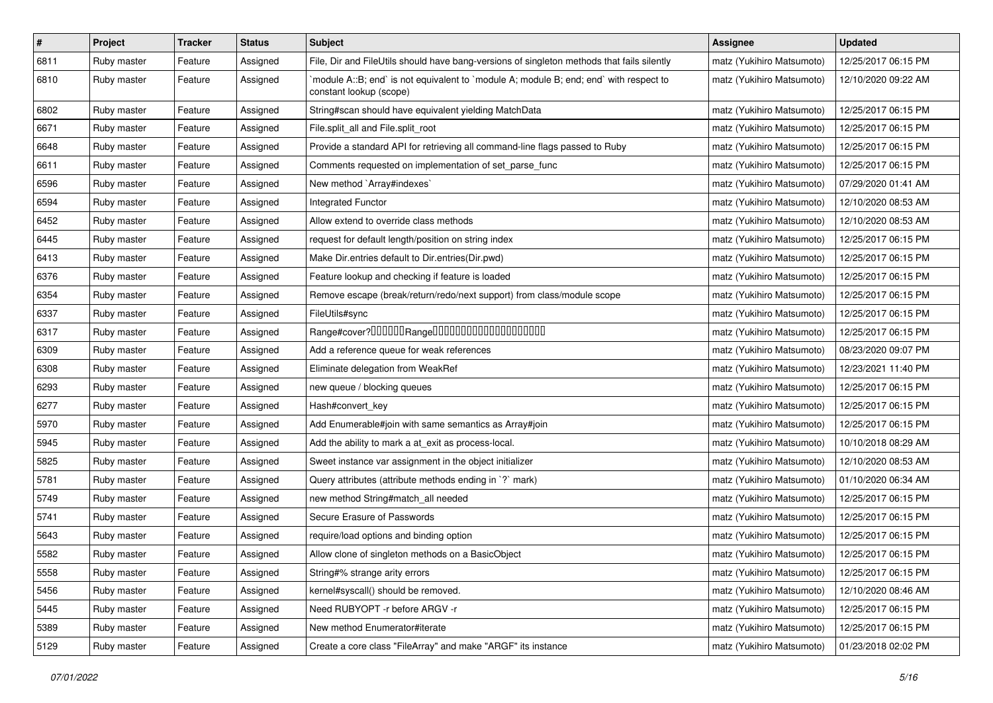| $\vert$ # | Project     | <b>Tracker</b> | <b>Status</b> | Subject                                                                                                          | Assignee                  | <b>Updated</b>      |
|-----------|-------------|----------------|---------------|------------------------------------------------------------------------------------------------------------------|---------------------------|---------------------|
| 6811      | Ruby master | Feature        | Assigned      | File, Dir and FileUtils should have bang-versions of singleton methods that fails silently                       | matz (Yukihiro Matsumoto) | 12/25/2017 06:15 PM |
| 6810      | Ruby master | Feature        | Assigned      | module A::B; end` is not equivalent to `module A; module B; end; end` with respect to<br>constant lookup (scope) | matz (Yukihiro Matsumoto) | 12/10/2020 09:22 AM |
| 6802      | Ruby master | Feature        | Assigned      | String#scan should have equivalent yielding MatchData                                                            | matz (Yukihiro Matsumoto) | 12/25/2017 06:15 PM |
| 6671      | Ruby master | Feature        | Assigned      | File.split_all and File.split_root                                                                               | matz (Yukihiro Matsumoto) | 12/25/2017 06:15 PM |
| 6648      | Ruby master | Feature        | Assigned      | Provide a standard API for retrieving all command-line flags passed to Ruby                                      | matz (Yukihiro Matsumoto) | 12/25/2017 06:15 PM |
| 6611      | Ruby master | Feature        | Assigned      | Comments requested on implementation of set_parse_func                                                           | matz (Yukihiro Matsumoto) | 12/25/2017 06:15 PM |
| 6596      | Ruby master | Feature        | Assigned      | New method `Array#indexes`                                                                                       | matz (Yukihiro Matsumoto) | 07/29/2020 01:41 AM |
| 6594      | Ruby master | Feature        | Assigned      | <b>Integrated Functor</b>                                                                                        | matz (Yukihiro Matsumoto) | 12/10/2020 08:53 AM |
| 6452      | Ruby master | Feature        | Assigned      | Allow extend to override class methods                                                                           | matz (Yukihiro Matsumoto) | 12/10/2020 08:53 AM |
| 6445      | Ruby master | Feature        | Assigned      | request for default length/position on string index                                                              | matz (Yukihiro Matsumoto) | 12/25/2017 06:15 PM |
| 6413      | Ruby master | Feature        | Assigned      | Make Dir.entries default to Dir.entries(Dir.pwd)                                                                 | matz (Yukihiro Matsumoto) | 12/25/2017 06:15 PM |
| 6376      | Ruby master | Feature        | Assigned      | Feature lookup and checking if feature is loaded                                                                 | matz (Yukihiro Matsumoto) | 12/25/2017 06:15 PM |
| 6354      | Ruby master | Feature        | Assigned      | Remove escape (break/return/redo/next support) from class/module scope                                           | matz (Yukihiro Matsumoto) | 12/25/2017 06:15 PM |
| 6337      | Ruby master | Feature        | Assigned      | FileUtils#sync                                                                                                   | matz (Yukihiro Matsumoto) | 12/25/2017 06:15 PM |
| 6317      | Ruby master | Feature        | Assigned      | Range#cover?000000Range00000000000000000000                                                                      | matz (Yukihiro Matsumoto) | 12/25/2017 06:15 PM |
| 6309      | Ruby master | Feature        | Assigned      | Add a reference queue for weak references                                                                        | matz (Yukihiro Matsumoto) | 08/23/2020 09:07 PM |
| 6308      | Ruby master | Feature        | Assigned      | Eliminate delegation from WeakRef                                                                                | matz (Yukihiro Matsumoto) | 12/23/2021 11:40 PM |
| 6293      | Ruby master | Feature        | Assigned      | new queue / blocking queues                                                                                      | matz (Yukihiro Matsumoto) | 12/25/2017 06:15 PM |
| 6277      | Ruby master | Feature        | Assigned      | Hash#convert_key                                                                                                 | matz (Yukihiro Matsumoto) | 12/25/2017 06:15 PM |
| 5970      | Ruby master | Feature        | Assigned      | Add Enumerable#join with same semantics as Array#join                                                            | matz (Yukihiro Matsumoto) | 12/25/2017 06:15 PM |
| 5945      | Ruby master | Feature        | Assigned      | Add the ability to mark a at_exit as process-local.                                                              | matz (Yukihiro Matsumoto) | 10/10/2018 08:29 AM |
| 5825      | Ruby master | Feature        | Assigned      | Sweet instance var assignment in the object initializer                                                          | matz (Yukihiro Matsumoto) | 12/10/2020 08:53 AM |
| 5781      | Ruby master | Feature        | Assigned      | Query attributes (attribute methods ending in `?` mark)                                                          | matz (Yukihiro Matsumoto) | 01/10/2020 06:34 AM |
| 5749      | Ruby master | Feature        | Assigned      | new method String#match_all needed                                                                               | matz (Yukihiro Matsumoto) | 12/25/2017 06:15 PM |
| 5741      | Ruby master | Feature        | Assigned      | Secure Erasure of Passwords                                                                                      | matz (Yukihiro Matsumoto) | 12/25/2017 06:15 PM |
| 5643      | Ruby master | Feature        | Assigned      | require/load options and binding option                                                                          | matz (Yukihiro Matsumoto) | 12/25/2017 06:15 PM |
| 5582      | Ruby master | Feature        | Assigned      | Allow clone of singleton methods on a BasicObject                                                                | matz (Yukihiro Matsumoto) | 12/25/2017 06:15 PM |
| 5558      | Ruby master | Feature        | Assigned      | String#% strange arity errors                                                                                    | matz (Yukihiro Matsumoto) | 12/25/2017 06:15 PM |
| 5456      | Ruby master | Feature        | Assigned      | kernel#syscall() should be removed.                                                                              | matz (Yukihiro Matsumoto) | 12/10/2020 08:46 AM |
| 5445      | Ruby master | Feature        | Assigned      | Need RUBYOPT - r before ARGV - r                                                                                 | matz (Yukihiro Matsumoto) | 12/25/2017 06:15 PM |
| 5389      | Ruby master | Feature        | Assigned      | New method Enumerator#iterate                                                                                    | matz (Yukihiro Matsumoto) | 12/25/2017 06:15 PM |
| 5129      | Ruby master | Feature        | Assigned      | Create a core class "FileArray" and make "ARGF" its instance                                                     | matz (Yukihiro Matsumoto) | 01/23/2018 02:02 PM |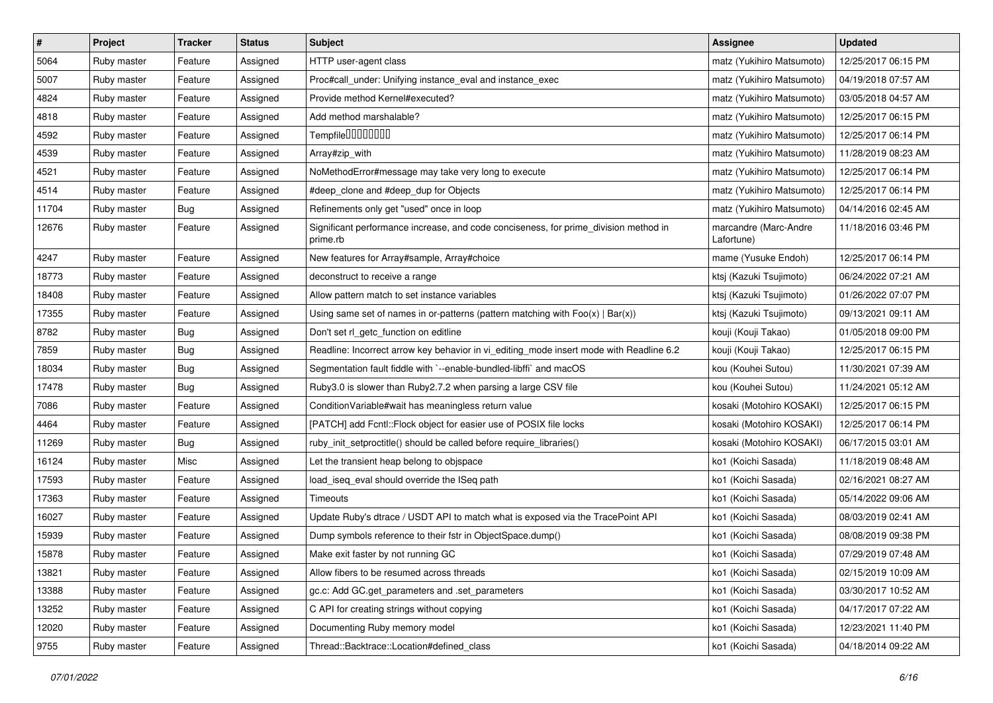| #     | Project     | <b>Tracker</b> | <b>Status</b> | Subject                                                                                          | <b>Assignee</b>                     | <b>Updated</b>      |
|-------|-------------|----------------|---------------|--------------------------------------------------------------------------------------------------|-------------------------------------|---------------------|
| 5064  | Ruby master | Feature        | Assigned      | HTTP user-agent class                                                                            | matz (Yukihiro Matsumoto)           | 12/25/2017 06:15 PM |
| 5007  | Ruby master | Feature        | Assigned      | Proc#call_under: Unifying instance_eval and instance_exec                                        | matz (Yukihiro Matsumoto)           | 04/19/2018 07:57 AM |
| 4824  | Ruby master | Feature        | Assigned      | Provide method Kernel#executed?                                                                  | matz (Yukihiro Matsumoto)           | 03/05/2018 04:57 AM |
| 4818  | Ruby master | Feature        | Assigned      | Add method marshalable?                                                                          | matz (Yukihiro Matsumoto)           | 12/25/2017 06:15 PM |
| 4592  | Ruby master | Feature        | Assigned      | Tempfile0000000                                                                                  | matz (Yukihiro Matsumoto)           | 12/25/2017 06:14 PM |
| 4539  | Ruby master | Feature        | Assigned      | Array#zip_with                                                                                   | matz (Yukihiro Matsumoto)           | 11/28/2019 08:23 AM |
| 4521  | Ruby master | Feature        | Assigned      | NoMethodError#message may take very long to execute                                              | matz (Yukihiro Matsumoto)           | 12/25/2017 06:14 PM |
| 4514  | Ruby master | Feature        | Assigned      | #deep clone and #deep dup for Objects                                                            | matz (Yukihiro Matsumoto)           | 12/25/2017 06:14 PM |
| 11704 | Ruby master | <b>Bug</b>     | Assigned      | Refinements only get "used" once in loop                                                         | matz (Yukihiro Matsumoto)           | 04/14/2016 02:45 AM |
| 12676 | Ruby master | Feature        | Assigned      | Significant performance increase, and code conciseness, for prime_division method in<br>prime.rb | marcandre (Marc-Andre<br>Lafortune) | 11/18/2016 03:46 PM |
| 4247  | Ruby master | Feature        | Assigned      | New features for Array#sample, Array#choice                                                      | mame (Yusuke Endoh)                 | 12/25/2017 06:14 PM |
| 18773 | Ruby master | Feature        | Assigned      | deconstruct to receive a range                                                                   | ktsj (Kazuki Tsujimoto)             | 06/24/2022 07:21 AM |
| 18408 | Ruby master | Feature        | Assigned      | Allow pattern match to set instance variables                                                    | ktsj (Kazuki Tsujimoto)             | 01/26/2022 07:07 PM |
| 17355 | Ruby master | Feature        | Assigned      | Using same set of names in or-patterns (pattern matching with $Foo(x)   Bar(x))$                 | ktsj (Kazuki Tsujimoto)             | 09/13/2021 09:11 AM |
| 8782  | Ruby master | <b>Bug</b>     | Assigned      | Don't set rl_getc_function on editline                                                           | kouji (Kouji Takao)                 | 01/05/2018 09:00 PM |
| 7859  | Ruby master | <b>Bug</b>     | Assigned      | Readline: Incorrect arrow key behavior in vi_editing_mode insert mode with Readline 6.2          | kouji (Kouji Takao)                 | 12/25/2017 06:15 PM |
| 18034 | Ruby master | Bug            | Assigned      | Segmentation fault fiddle with `--enable-bundled-libffi` and macOS                               | kou (Kouhei Sutou)                  | 11/30/2021 07:39 AM |
| 17478 | Ruby master | Bug            | Assigned      | Ruby3.0 is slower than Ruby2.7.2 when parsing a large CSV file                                   | kou (Kouhei Sutou)                  | 11/24/2021 05:12 AM |
| 7086  | Ruby master | Feature        | Assigned      | Condition Variable#wait has meaningless return value                                             | kosaki (Motohiro KOSAKI)            | 12/25/2017 06:15 PM |
| 4464  | Ruby master | Feature        | Assigned      | [PATCH] add Fcntl::Flock object for easier use of POSIX file locks                               | kosaki (Motohiro KOSAKI)            | 12/25/2017 06:14 PM |
| 11269 | Ruby master | <b>Bug</b>     | Assigned      | ruby_init_setproctitle() should be called before require_libraries()                             | kosaki (Motohiro KOSAKI)            | 06/17/2015 03:01 AM |
| 16124 | Ruby master | Misc           | Assigned      | Let the transient heap belong to objspace                                                        | ko1 (Koichi Sasada)                 | 11/18/2019 08:48 AM |
| 17593 | Ruby master | Feature        | Assigned      | load iseg eval should override the ISeg path                                                     | ko1 (Koichi Sasada)                 | 02/16/2021 08:27 AM |
| 17363 | Ruby master | Feature        | Assigned      | Timeouts                                                                                         | ko1 (Koichi Sasada)                 | 05/14/2022 09:06 AM |
| 16027 | Ruby master | Feature        | Assigned      | Update Ruby's dtrace / USDT API to match what is exposed via the TracePoint API                  | ko1 (Koichi Sasada)                 | 08/03/2019 02:41 AM |
| 15939 | Ruby master | Feature        | Assigned      | Dump symbols reference to their fstr in ObjectSpace.dump()                                       | ko1 (Koichi Sasada)                 | 08/08/2019 09:38 PM |
| 15878 | Ruby master | Feature        | Assigned      | Make exit faster by not running GC                                                               | ko1 (Koichi Sasada)                 | 07/29/2019 07:48 AM |
| 13821 | Ruby master | Feature        | Assigned      | Allow fibers to be resumed across threads                                                        | ko1 (Koichi Sasada)                 | 02/15/2019 10:09 AM |
| 13388 | Ruby master | Feature        | Assigned      | gc.c: Add GC.get parameters and set parameters                                                   | ko1 (Koichi Sasada)                 | 03/30/2017 10:52 AM |
| 13252 | Ruby master | Feature        | Assigned      | C API for creating strings without copying                                                       | ko1 (Koichi Sasada)                 | 04/17/2017 07:22 AM |
| 12020 | Ruby master | Feature        | Assigned      | Documenting Ruby memory model                                                                    | ko1 (Koichi Sasada)                 | 12/23/2021 11:40 PM |
| 9755  | Ruby master | Feature        | Assigned      | Thread::Backtrace::Location#defined_class                                                        | ko1 (Koichi Sasada)                 | 04/18/2014 09:22 AM |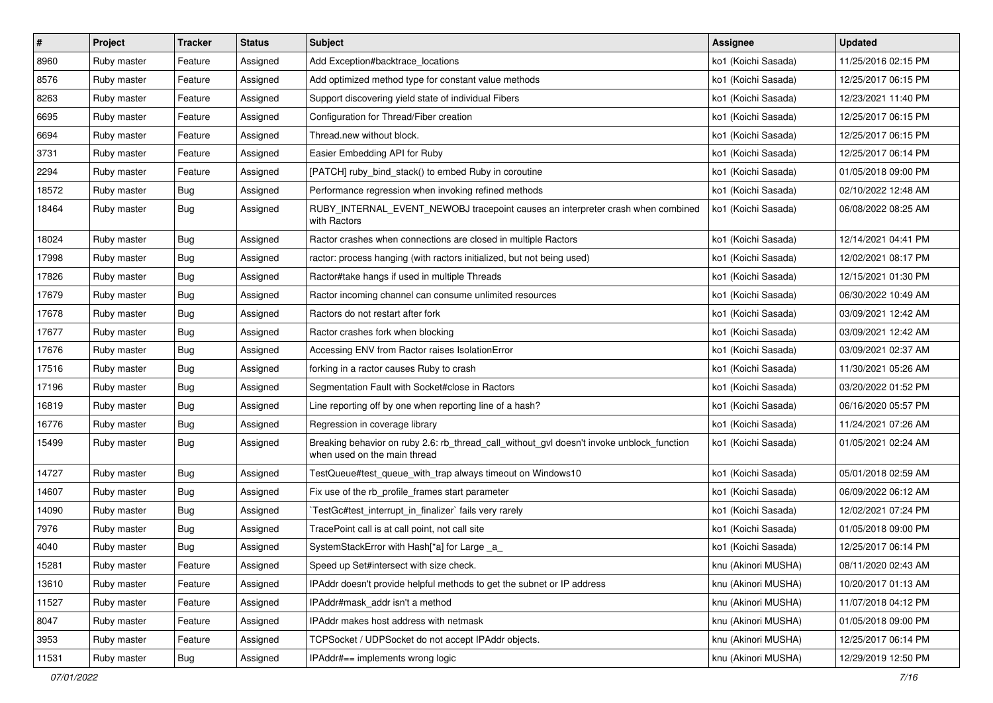| #     | Project     | <b>Tracker</b> | <b>Status</b> | Subject                                                                                                                   | <b>Assignee</b>     | <b>Updated</b>      |
|-------|-------------|----------------|---------------|---------------------------------------------------------------------------------------------------------------------------|---------------------|---------------------|
| 8960  | Ruby master | Feature        | Assigned      | Add Exception#backtrace locations                                                                                         | ko1 (Koichi Sasada) | 11/25/2016 02:15 PM |
| 8576  | Ruby master | Feature        | Assigned      | Add optimized method type for constant value methods                                                                      | ko1 (Koichi Sasada) | 12/25/2017 06:15 PM |
| 8263  | Ruby master | Feature        | Assigned      | Support discovering yield state of individual Fibers                                                                      | ko1 (Koichi Sasada) | 12/23/2021 11:40 PM |
| 6695  | Ruby master | Feature        | Assigned      | Configuration for Thread/Fiber creation                                                                                   | ko1 (Koichi Sasada) | 12/25/2017 06:15 PM |
| 6694  | Ruby master | Feature        | Assigned      | Thread.new without block.                                                                                                 | ko1 (Koichi Sasada) | 12/25/2017 06:15 PM |
| 3731  | Ruby master | Feature        | Assigned      | Easier Embedding API for Ruby                                                                                             | ko1 (Koichi Sasada) | 12/25/2017 06:14 PM |
| 2294  | Ruby master | Feature        | Assigned      | [PATCH] ruby_bind_stack() to embed Ruby in coroutine                                                                      | ko1 (Koichi Sasada) | 01/05/2018 09:00 PM |
| 18572 | Ruby master | <b>Bug</b>     | Assigned      | Performance regression when invoking refined methods                                                                      | ko1 (Koichi Sasada) | 02/10/2022 12:48 AM |
| 18464 | Ruby master | <b>Bug</b>     | Assigned      | RUBY_INTERNAL_EVENT_NEWOBJ tracepoint causes an interpreter crash when combined<br>with Ractors                           | ko1 (Koichi Sasada) | 06/08/2022 08:25 AM |
| 18024 | Ruby master | <b>Bug</b>     | Assigned      | Ractor crashes when connections are closed in multiple Ractors                                                            | ko1 (Koichi Sasada) | 12/14/2021 04:41 PM |
| 17998 | Ruby master | <b>Bug</b>     | Assigned      | ractor: process hanging (with ractors initialized, but not being used)                                                    | ko1 (Koichi Sasada) | 12/02/2021 08:17 PM |
| 17826 | Ruby master | <b>Bug</b>     | Assigned      | Ractor#take hangs if used in multiple Threads                                                                             | ko1 (Koichi Sasada) | 12/15/2021 01:30 PM |
| 17679 | Ruby master | <b>Bug</b>     | Assigned      | Ractor incoming channel can consume unlimited resources                                                                   | ko1 (Koichi Sasada) | 06/30/2022 10:49 AM |
| 17678 | Ruby master | <b>Bug</b>     | Assigned      | Ractors do not restart after fork                                                                                         | ko1 (Koichi Sasada) | 03/09/2021 12:42 AM |
| 17677 | Ruby master | <b>Bug</b>     | Assigned      | Ractor crashes fork when blocking                                                                                         | ko1 (Koichi Sasada) | 03/09/2021 12:42 AM |
| 17676 | Ruby master | <b>Bug</b>     | Assigned      | Accessing ENV from Ractor raises IsolationError                                                                           | ko1 (Koichi Sasada) | 03/09/2021 02:37 AM |
| 17516 | Ruby master | <b>Bug</b>     | Assigned      | forking in a ractor causes Ruby to crash                                                                                  | ko1 (Koichi Sasada) | 11/30/2021 05:26 AM |
| 17196 | Ruby master | <b>Bug</b>     | Assigned      | Segmentation Fault with Socket#close in Ractors                                                                           | ko1 (Koichi Sasada) | 03/20/2022 01:52 PM |
| 16819 | Ruby master | <b>Bug</b>     | Assigned      | Line reporting off by one when reporting line of a hash?                                                                  | ko1 (Koichi Sasada) | 06/16/2020 05:57 PM |
| 16776 | Ruby master | <b>Bug</b>     | Assigned      | Regression in coverage library                                                                                            | ko1 (Koichi Sasada) | 11/24/2021 07:26 AM |
| 15499 | Ruby master | Bug            | Assigned      | Breaking behavior on ruby 2.6: rb_thread_call_without_gvl doesn't invoke unblock_function<br>when used on the main thread | ko1 (Koichi Sasada) | 01/05/2021 02:24 AM |
| 14727 | Ruby master | <b>Bug</b>     | Assigned      | TestQueue#test_queue_with_trap always timeout on Windows10                                                                | ko1 (Koichi Sasada) | 05/01/2018 02:59 AM |
| 14607 | Ruby master | <b>Bug</b>     | Assigned      | Fix use of the rb_profile_frames start parameter                                                                          | ko1 (Koichi Sasada) | 06/09/2022 06:12 AM |
| 14090 | Ruby master | <b>Bug</b>     | Assigned      | TestGc#test_interrupt_in_finalizer` fails very rarely                                                                     | ko1 (Koichi Sasada) | 12/02/2021 07:24 PM |
| 7976  | Ruby master | <b>Bug</b>     | Assigned      | TracePoint call is at call point, not call site                                                                           | ko1 (Koichi Sasada) | 01/05/2018 09:00 PM |
| 4040  | Ruby master | <b>Bug</b>     | Assigned      | SystemStackError with Hash[*a] for Large _a_                                                                              | ko1 (Koichi Sasada) | 12/25/2017 06:14 PM |
| 15281 | Ruby master | Feature        | Assigned      | Speed up Set#intersect with size check.                                                                                   | knu (Akinori MUSHA) | 08/11/2020 02:43 AM |
| 13610 | Ruby master | Feature        | Assigned      | IPAddr doesn't provide helpful methods to get the subnet or IP address                                                    | knu (Akinori MUSHA) | 10/20/2017 01:13 AM |
| 11527 | Ruby master | Feature        | Assigned      | IPAddr#mask_addr isn't a method                                                                                           | knu (Akinori MUSHA) | 11/07/2018 04:12 PM |
| 8047  | Ruby master | Feature        | Assigned      | IPAddr makes host address with netmask                                                                                    | knu (Akinori MUSHA) | 01/05/2018 09:00 PM |
| 3953  | Ruby master | Feature        | Assigned      | TCPSocket / UDPSocket do not accept IPAddr objects.                                                                       | knu (Akinori MUSHA) | 12/25/2017 06:14 PM |
| 11531 | Ruby master | <b>Bug</b>     | Assigned      | IPAddr#== implements wrong logic                                                                                          | knu (Akinori MUSHA) | 12/29/2019 12:50 PM |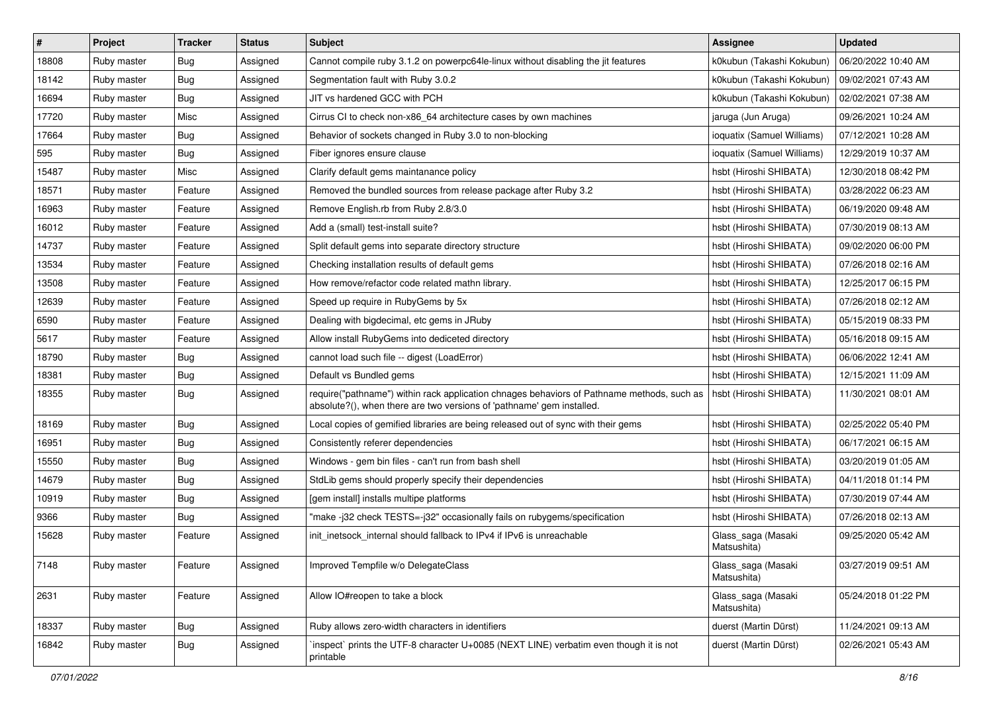| $\pmb{\#}$ | Project     | <b>Tracker</b> | <b>Status</b> | Subject                                                                                                                                                             | <b>Assignee</b>                   | <b>Updated</b>      |
|------------|-------------|----------------|---------------|---------------------------------------------------------------------------------------------------------------------------------------------------------------------|-----------------------------------|---------------------|
| 18808      | Ruby master | <b>Bug</b>     | Assigned      | Cannot compile ruby 3.1.2 on powerpc64le-linux without disabling the jit features                                                                                   | k0kubun (Takashi Kokubun)         | 06/20/2022 10:40 AM |
| 18142      | Ruby master | Bug            | Assigned      | Segmentation fault with Ruby 3.0.2                                                                                                                                  | k0kubun (Takashi Kokubun)         | 09/02/2021 07:43 AM |
| 16694      | Ruby master | <b>Bug</b>     | Assigned      | JIT vs hardened GCC with PCH                                                                                                                                        | k0kubun (Takashi Kokubun)         | 02/02/2021 07:38 AM |
| 17720      | Ruby master | Misc           | Assigned      | Cirrus CI to check non-x86_64 architecture cases by own machines                                                                                                    | jaruga (Jun Aruga)                | 09/26/2021 10:24 AM |
| 17664      | Ruby master | Bug            | Assigned      | Behavior of sockets changed in Ruby 3.0 to non-blocking                                                                                                             | ioquatix (Samuel Williams)        | 07/12/2021 10:28 AM |
| 595        | Ruby master | <b>Bug</b>     | Assigned      | Fiber ignores ensure clause                                                                                                                                         | ioquatix (Samuel Williams)        | 12/29/2019 10:37 AM |
| 15487      | Ruby master | Misc           | Assigned      | Clarify default gems maintanance policy                                                                                                                             | hsbt (Hiroshi SHIBATA)            | 12/30/2018 08:42 PM |
| 18571      | Ruby master | Feature        | Assigned      | Removed the bundled sources from release package after Ruby 3.2                                                                                                     | hsbt (Hiroshi SHIBATA)            | 03/28/2022 06:23 AM |
| 16963      | Ruby master | Feature        | Assigned      | Remove English.rb from Ruby 2.8/3.0                                                                                                                                 | hsbt (Hiroshi SHIBATA)            | 06/19/2020 09:48 AM |
| 16012      | Ruby master | Feature        | Assigned      | Add a (small) test-install suite?                                                                                                                                   | hsbt (Hiroshi SHIBATA)            | 07/30/2019 08:13 AM |
| 14737      | Ruby master | Feature        | Assigned      | Split default gems into separate directory structure                                                                                                                | hsbt (Hiroshi SHIBATA)            | 09/02/2020 06:00 PM |
| 13534      | Ruby master | Feature        | Assigned      | Checking installation results of default gems                                                                                                                       | hsbt (Hiroshi SHIBATA)            | 07/26/2018 02:16 AM |
| 13508      | Ruby master | Feature        | Assigned      | How remove/refactor code related mathn library.                                                                                                                     | hsbt (Hiroshi SHIBATA)            | 12/25/2017 06:15 PM |
| 12639      | Ruby master | Feature        | Assigned      | Speed up require in RubyGems by 5x                                                                                                                                  | hsbt (Hiroshi SHIBATA)            | 07/26/2018 02:12 AM |
| 6590       | Ruby master | Feature        | Assigned      | Dealing with bigdecimal, etc gems in JRuby                                                                                                                          | hsbt (Hiroshi SHIBATA)            | 05/15/2019 08:33 PM |
| 5617       | Ruby master | Feature        | Assigned      | Allow install RubyGems into dediceted directory                                                                                                                     | hsbt (Hiroshi SHIBATA)            | 05/16/2018 09:15 AM |
| 18790      | Ruby master | <b>Bug</b>     | Assigned      | cannot load such file -- digest (LoadError)                                                                                                                         | hsbt (Hiroshi SHIBATA)            | 06/06/2022 12:41 AM |
| 18381      | Ruby master | Bug            | Assigned      | Default vs Bundled gems                                                                                                                                             | hsbt (Hiroshi SHIBATA)            | 12/15/2021 11:09 AM |
| 18355      | Ruby master | <b>Bug</b>     | Assigned      | require("pathname") within rack application chnages behaviors of Pathname methods, such as<br>absolute?(), when there are two versions of 'pathname' gem installed. | hsbt (Hiroshi SHIBATA)            | 11/30/2021 08:01 AM |
| 18169      | Ruby master | <b>Bug</b>     | Assigned      | Local copies of gemified libraries are being released out of sync with their gems                                                                                   | hsbt (Hiroshi SHIBATA)            | 02/25/2022 05:40 PM |
| 16951      | Ruby master | Bug            | Assigned      | Consistently referer dependencies                                                                                                                                   | hsbt (Hiroshi SHIBATA)            | 06/17/2021 06:15 AM |
| 15550      | Ruby master | Bug            | Assigned      | Windows - gem bin files - can't run from bash shell                                                                                                                 | hsbt (Hiroshi SHIBATA)            | 03/20/2019 01:05 AM |
| 14679      | Ruby master | <b>Bug</b>     | Assigned      | StdLib gems should properly specify their dependencies                                                                                                              | hsbt (Hiroshi SHIBATA)            | 04/11/2018 01:14 PM |
| 10919      | Ruby master | <b>Bug</b>     | Assigned      | [gem install] installs multipe platforms                                                                                                                            | hsbt (Hiroshi SHIBATA)            | 07/30/2019 07:44 AM |
| 9366       | Ruby master | Bug            | Assigned      | "make-j32 check TESTS=-j32" occasionally fails on rubygems/specification                                                                                            | hsbt (Hiroshi SHIBATA)            | 07/26/2018 02:13 AM |
| 15628      | Ruby master | Feature        | Assigned      | init inetsock internal should fallback to IPv4 if IPv6 is unreachable                                                                                               | Glass_saga (Masaki<br>Matsushita) | 09/25/2020 05:42 AM |
| 7148       | Ruby master | Feature        | Assigned      | Improved Tempfile w/o DelegateClass                                                                                                                                 | Glass_saga (Masaki<br>Matsushita) | 03/27/2019 09:51 AM |
| 2631       | Ruby master | Feature        | Assigned      | Allow IO#reopen to take a block                                                                                                                                     | Glass_saga (Masaki<br>Matsushita) | 05/24/2018 01:22 PM |
| 18337      | Ruby master | <b>Bug</b>     | Assigned      | Ruby allows zero-width characters in identifiers                                                                                                                    | duerst (Martin Dürst)             | 11/24/2021 09:13 AM |
| 16842      | Ruby master | <b>Bug</b>     | Assigned      | 'inspect' prints the UTF-8 character U+0085 (NEXT LINE) verbatim even though it is not<br>printable                                                                 | duerst (Martin Dürst)             | 02/26/2021 05:43 AM |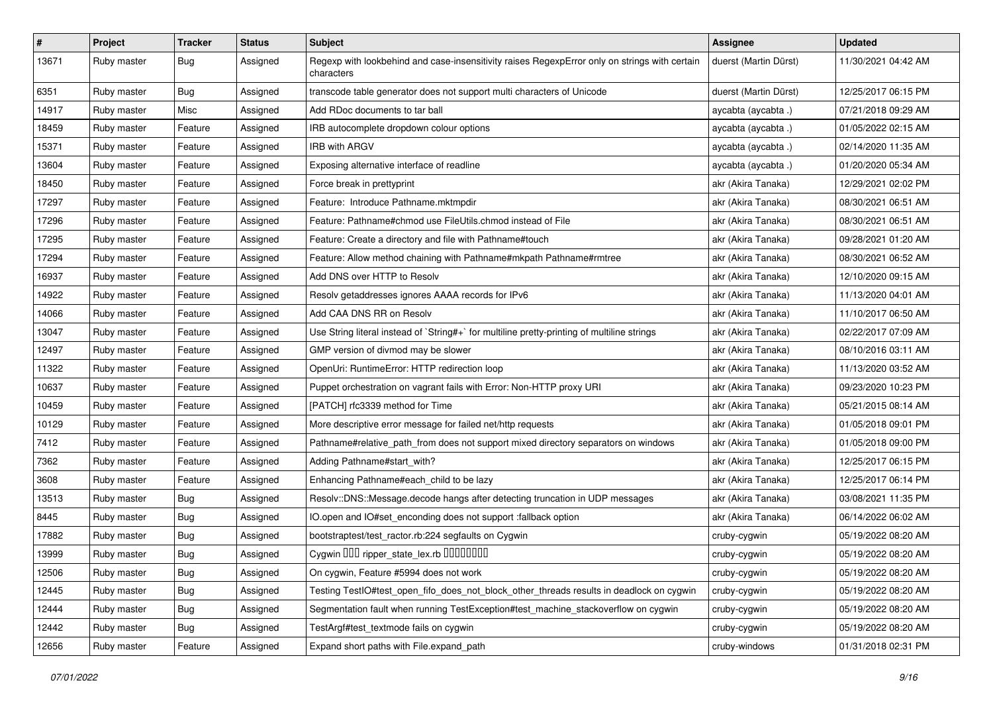| $\sharp$ | Project     | <b>Tracker</b> | <b>Status</b> | <b>Subject</b>                                                                                              | <b>Assignee</b>       | <b>Updated</b>      |
|----------|-------------|----------------|---------------|-------------------------------------------------------------------------------------------------------------|-----------------------|---------------------|
| 13671    | Ruby master | Bug            | Assigned      | Regexp with lookbehind and case-insensitivity raises RegexpError only on strings with certain<br>characters | duerst (Martin Dürst) | 11/30/2021 04:42 AM |
| 6351     | Ruby master | <b>Bug</b>     | Assigned      | transcode table generator does not support multi characters of Unicode                                      | duerst (Martin Dürst) | 12/25/2017 06:15 PM |
| 14917    | Ruby master | Misc           | Assigned      | Add RDoc documents to tar ball                                                                              | aycabta (aycabta.)    | 07/21/2018 09:29 AM |
| 18459    | Ruby master | Feature        | Assigned      | IRB autocomplete dropdown colour options                                                                    | aycabta (aycabta.)    | 01/05/2022 02:15 AM |
| 15371    | Ruby master | Feature        | Assigned      | IRB with ARGV                                                                                               | aycabta (aycabta.)    | 02/14/2020 11:35 AM |
| 13604    | Ruby master | Feature        | Assigned      | Exposing alternative interface of readline                                                                  | aycabta (aycabta.)    | 01/20/2020 05:34 AM |
| 18450    | Ruby master | Feature        | Assigned      | Force break in prettyprint                                                                                  | akr (Akira Tanaka)    | 12/29/2021 02:02 PM |
| 17297    | Ruby master | Feature        | Assigned      | Feature: Introduce Pathname.mktmpdir                                                                        | akr (Akira Tanaka)    | 08/30/2021 06:51 AM |
| 17296    | Ruby master | Feature        | Assigned      | Feature: Pathname#chmod use FileUtils.chmod instead of File                                                 | akr (Akira Tanaka)    | 08/30/2021 06:51 AM |
| 17295    | Ruby master | Feature        | Assigned      | Feature: Create a directory and file with Pathname#touch                                                    | akr (Akira Tanaka)    | 09/28/2021 01:20 AM |
| 17294    | Ruby master | Feature        | Assigned      | Feature: Allow method chaining with Pathname#mkpath Pathname#rmtree                                         | akr (Akira Tanaka)    | 08/30/2021 06:52 AM |
| 16937    | Ruby master | Feature        | Assigned      | Add DNS over HTTP to Resolv                                                                                 | akr (Akira Tanaka)    | 12/10/2020 09:15 AM |
| 14922    | Ruby master | Feature        | Assigned      | Resolv getaddresses ignores AAAA records for IPv6                                                           | akr (Akira Tanaka)    | 11/13/2020 04:01 AM |
| 14066    | Ruby master | Feature        | Assigned      | Add CAA DNS RR on Resolv                                                                                    | akr (Akira Tanaka)    | 11/10/2017 06:50 AM |
| 13047    | Ruby master | Feature        | Assigned      | Use String literal instead of `String#+` for multiline pretty-printing of multiline strings                 | akr (Akira Tanaka)    | 02/22/2017 07:09 AM |
| 12497    | Ruby master | Feature        | Assigned      | GMP version of divmod may be slower                                                                         | akr (Akira Tanaka)    | 08/10/2016 03:11 AM |
| 11322    | Ruby master | Feature        | Assigned      | OpenUri: RuntimeError: HTTP redirection loop                                                                | akr (Akira Tanaka)    | 11/13/2020 03:52 AM |
| 10637    | Ruby master | Feature        | Assigned      | Puppet orchestration on vagrant fails with Error: Non-HTTP proxy URI                                        | akr (Akira Tanaka)    | 09/23/2020 10:23 PM |
| 10459    | Ruby master | Feature        | Assigned      | [PATCH] rfc3339 method for Time                                                                             | akr (Akira Tanaka)    | 05/21/2015 08:14 AM |
| 10129    | Ruby master | Feature        | Assigned      | More descriptive error message for failed net/http requests                                                 | akr (Akira Tanaka)    | 01/05/2018 09:01 PM |
| 7412     | Ruby master | Feature        | Assigned      | Pathname#relative_path_from does not support mixed directory separators on windows                          | akr (Akira Tanaka)    | 01/05/2018 09:00 PM |
| 7362     | Ruby master | Feature        | Assigned      | Adding Pathname#start_with?                                                                                 | akr (Akira Tanaka)    | 12/25/2017 06:15 PM |
| 3608     | Ruby master | Feature        | Assigned      | Enhancing Pathname#each_child to be lazy                                                                    | akr (Akira Tanaka)    | 12/25/2017 06:14 PM |
| 13513    | Ruby master | Bug            | Assigned      | Resolv::DNS::Message.decode hangs after detecting truncation in UDP messages                                | akr (Akira Tanaka)    | 03/08/2021 11:35 PM |
| 8445     | Ruby master | Bug            | Assigned      | IO.open and IO#set_enconding does not support :fallback option                                              | akr (Akira Tanaka)    | 06/14/2022 06:02 AM |
| 17882    | Ruby master | Bug            | Assigned      | bootstraptest/test_ractor.rb:224 segfaults on Cygwin                                                        | cruby-cygwin          | 05/19/2022 08:20 AM |
| 13999    | Ruby master | <b>Bug</b>     | Assigned      | Cygwin OOO ripper_state_lex.rb 0000000                                                                      | cruby-cygwin          | 05/19/2022 08:20 AM |
| 12506    | Ruby master | <b>Bug</b>     | Assigned      | On cygwin, Feature #5994 does not work                                                                      | cruby-cygwin          | 05/19/2022 08:20 AM |
| 12445    | Ruby master | <b>Bug</b>     | Assigned      | Testing TestIO#test_open_fifo_does_not_block_other_threads results in deadlock on cygwin                    | cruby-cygwin          | 05/19/2022 08:20 AM |
| 12444    | Ruby master | <b>Bug</b>     | Assigned      | Segmentation fault when running TestException#test_machine_stackoverflow on cygwin                          | cruby-cygwin          | 05/19/2022 08:20 AM |
| 12442    | Ruby master | <b>Bug</b>     | Assigned      | TestArgf#test_textmode fails on cygwin                                                                      | cruby-cygwin          | 05/19/2022 08:20 AM |
| 12656    | Ruby master | Feature        | Assigned      | Expand short paths with File.expand_path                                                                    | cruby-windows         | 01/31/2018 02:31 PM |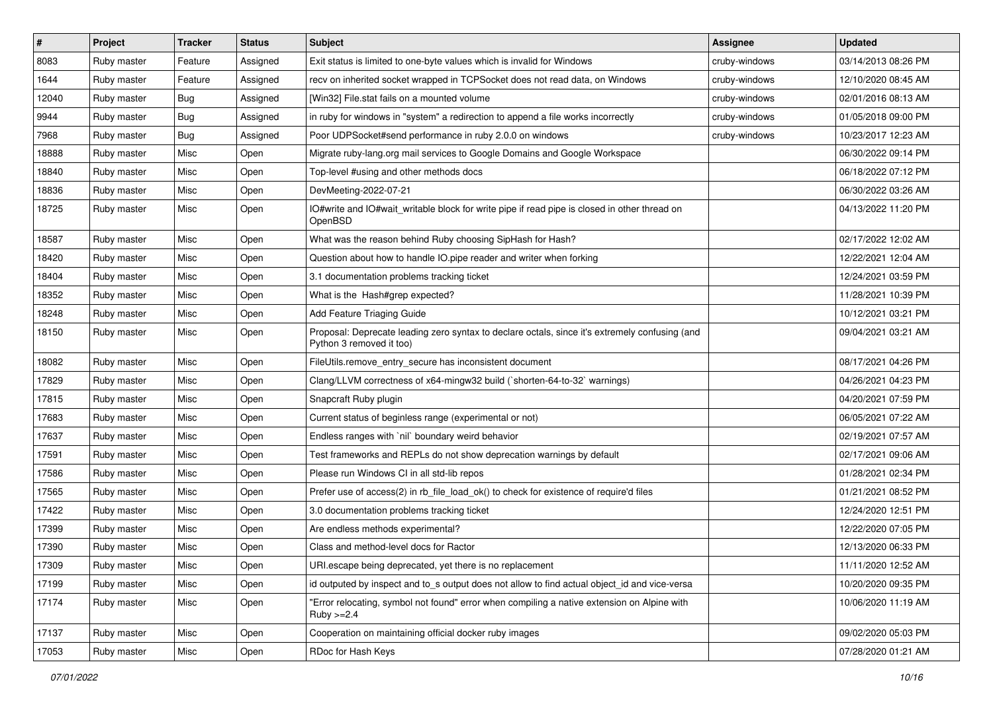| $\vert$ # | Project     | <b>Tracker</b> | <b>Status</b> | Subject                                                                                                                    | Assignee      | <b>Updated</b>      |
|-----------|-------------|----------------|---------------|----------------------------------------------------------------------------------------------------------------------------|---------------|---------------------|
| 8083      | Ruby master | Feature        | Assigned      | Exit status is limited to one-byte values which is invalid for Windows                                                     | cruby-windows | 03/14/2013 08:26 PM |
| 1644      | Ruby master | Feature        | Assigned      | recv on inherited socket wrapped in TCPSocket does not read data, on Windows                                               | cruby-windows | 12/10/2020 08:45 AM |
| 12040     | Ruby master | <b>Bug</b>     | Assigned      | [Win32] File.stat fails on a mounted volume                                                                                | cruby-windows | 02/01/2016 08:13 AM |
| 9944      | Ruby master | <b>Bug</b>     | Assigned      | in ruby for windows in "system" a redirection to append a file works incorrectly                                           | cruby-windows | 01/05/2018 09:00 PM |
| 7968      | Ruby master | <b>Bug</b>     | Assigned      | Poor UDPSocket#send performance in ruby 2.0.0 on windows                                                                   | cruby-windows | 10/23/2017 12:23 AM |
| 18888     | Ruby master | Misc           | Open          | Migrate ruby-lang.org mail services to Google Domains and Google Workspace                                                 |               | 06/30/2022 09:14 PM |
| 18840     | Ruby master | Misc           | Open          | Top-level #using and other methods docs                                                                                    |               | 06/18/2022 07:12 PM |
| 18836     | Ruby master | Misc           | Open          | DevMeeting-2022-07-21                                                                                                      |               | 06/30/2022 03:26 AM |
| 18725     | Ruby master | Misc           | Open          | IO#write and IO#wait_writable block for write pipe if read pipe is closed in other thread on<br>OpenBSD                    |               | 04/13/2022 11:20 PM |
| 18587     | Ruby master | Misc           | Open          | What was the reason behind Ruby choosing SipHash for Hash?                                                                 |               | 02/17/2022 12:02 AM |
| 18420     | Ruby master | Misc           | Open          | Question about how to handle IO.pipe reader and writer when forking                                                        |               | 12/22/2021 12:04 AM |
| 18404     | Ruby master | Misc           | Open          | 3.1 documentation problems tracking ticket                                                                                 |               | 12/24/2021 03:59 PM |
| 18352     | Ruby master | Misc           | Open          | What is the Hash#grep expected?                                                                                            |               | 11/28/2021 10:39 PM |
| 18248     | Ruby master | Misc           | Open          | Add Feature Triaging Guide                                                                                                 |               | 10/12/2021 03:21 PM |
| 18150     | Ruby master | Misc           | Open          | Proposal: Deprecate leading zero syntax to declare octals, since it's extremely confusing (and<br>Python 3 removed it too) |               | 09/04/2021 03:21 AM |
| 18082     | Ruby master | Misc           | Open          | FileUtils.remove_entry_secure has inconsistent document                                                                    |               | 08/17/2021 04:26 PM |
| 17829     | Ruby master | Misc           | Open          | Clang/LLVM correctness of x64-mingw32 build (`shorten-64-to-32` warnings)                                                  |               | 04/26/2021 04:23 PM |
| 17815     | Ruby master | Misc           | Open          | Snapcraft Ruby plugin                                                                                                      |               | 04/20/2021 07:59 PM |
| 17683     | Ruby master | Misc           | Open          | Current status of beginless range (experimental or not)                                                                    |               | 06/05/2021 07:22 AM |
| 17637     | Ruby master | Misc           | Open          | Endless ranges with 'nil' boundary weird behavior                                                                          |               | 02/19/2021 07:57 AM |
| 17591     | Ruby master | Misc           | Open          | Test frameworks and REPLs do not show deprecation warnings by default                                                      |               | 02/17/2021 09:06 AM |
| 17586     | Ruby master | Misc           | Open          | Please run Windows CI in all std-lib repos                                                                                 |               | 01/28/2021 02:34 PM |
| 17565     | Ruby master | Misc           | Open          | Prefer use of access(2) in rb_file_load_ok() to check for existence of require'd files                                     |               | 01/21/2021 08:52 PM |
| 17422     | Ruby master | Misc           | Open          | 3.0 documentation problems tracking ticket                                                                                 |               | 12/24/2020 12:51 PM |
| 17399     | Ruby master | Misc           | Open          | Are endless methods experimental?                                                                                          |               | 12/22/2020 07:05 PM |
| 17390     | Ruby master | Misc           | Open          | Class and method-level docs for Ractor                                                                                     |               | 12/13/2020 06:33 PM |
| 17309     | Ruby master | Misc           | Open          | URI escape being deprecated, yet there is no replacement                                                                   |               | 11/11/2020 12:52 AM |
| 17199     | Ruby master | Misc           | Open          | id outputed by inspect and to_s output does not allow to find actual object_id and vice-versa                              |               | 10/20/2020 09:35 PM |
| 17174     | Ruby master | Misc           | Open          | "Error relocating, symbol not found" error when compiling a native extension on Alpine with<br>$Ruby > = 2.4$              |               | 10/06/2020 11:19 AM |
| 17137     | Ruby master | Misc           | Open          | Cooperation on maintaining official docker ruby images                                                                     |               | 09/02/2020 05:03 PM |
| 17053     | Ruby master | Misc           | Open          | RDoc for Hash Keys                                                                                                         |               | 07/28/2020 01:21 AM |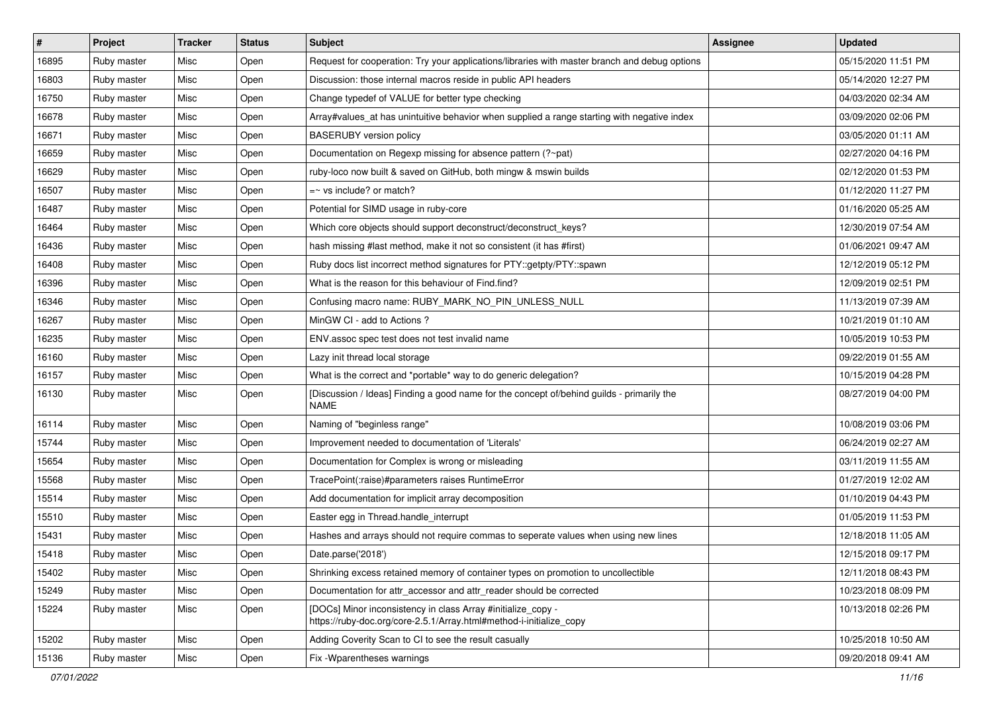| $\vert$ # | Project     | <b>Tracker</b> | <b>Status</b> | Subject                                                                                                                             | <b>Assignee</b> | <b>Updated</b>      |
|-----------|-------------|----------------|---------------|-------------------------------------------------------------------------------------------------------------------------------------|-----------------|---------------------|
| 16895     | Ruby master | Misc           | Open          | Request for cooperation: Try your applications/libraries with master branch and debug options                                       |                 | 05/15/2020 11:51 PM |
| 16803     | Ruby master | Misc           | Open          | Discussion: those internal macros reside in public API headers                                                                      |                 | 05/14/2020 12:27 PM |
| 16750     | Ruby master | Misc           | Open          | Change typedef of VALUE for better type checking                                                                                    |                 | 04/03/2020 02:34 AM |
| 16678     | Ruby master | Misc           | Open          | Array#values_at has unintuitive behavior when supplied a range starting with negative index                                         |                 | 03/09/2020 02:06 PM |
| 16671     | Ruby master | Misc           | Open          | <b>BASERUBY</b> version policy                                                                                                      |                 | 03/05/2020 01:11 AM |
| 16659     | Ruby master | Misc           | Open          | Documentation on Regexp missing for absence pattern (?~pat)                                                                         |                 | 02/27/2020 04:16 PM |
| 16629     | Ruby master | Misc           | Open          | ruby-loco now built & saved on GitHub, both mingw & mswin builds                                                                    |                 | 02/12/2020 01:53 PM |
| 16507     | Ruby master | Misc           | Open          | $=$ vs include? or match?                                                                                                           |                 | 01/12/2020 11:27 PM |
| 16487     | Ruby master | Misc           | Open          | Potential for SIMD usage in ruby-core                                                                                               |                 | 01/16/2020 05:25 AM |
| 16464     | Ruby master | Misc           | Open          | Which core objects should support deconstruct/deconstruct_keys?                                                                     |                 | 12/30/2019 07:54 AM |
| 16436     | Ruby master | Misc           | Open          | hash missing #last method, make it not so consistent (it has #first)                                                                |                 | 01/06/2021 09:47 AM |
| 16408     | Ruby master | Misc           | Open          | Ruby docs list incorrect method signatures for PTY::getpty/PTY::spawn                                                               |                 | 12/12/2019 05:12 PM |
| 16396     | Ruby master | Misc           | Open          | What is the reason for this behaviour of Find.find?                                                                                 |                 | 12/09/2019 02:51 PM |
| 16346     | Ruby master | Misc           | Open          | Confusing macro name: RUBY_MARK_NO_PIN_UNLESS_NULL                                                                                  |                 | 11/13/2019 07:39 AM |
| 16267     | Ruby master | Misc           | Open          | MinGW CI - add to Actions ?                                                                                                         |                 | 10/21/2019 01:10 AM |
| 16235     | Ruby master | Misc           | Open          | ENV.assoc spec test does not test invalid name                                                                                      |                 | 10/05/2019 10:53 PM |
| 16160     | Ruby master | Misc           | Open          | Lazy init thread local storage                                                                                                      |                 | 09/22/2019 01:55 AM |
| 16157     | Ruby master | Misc           | Open          | What is the correct and *portable* way to do generic delegation?                                                                    |                 | 10/15/2019 04:28 PM |
| 16130     | Ruby master | Misc           | Open          | [Discussion / Ideas] Finding a good name for the concept of/behind guilds - primarily the<br><b>NAME</b>                            |                 | 08/27/2019 04:00 PM |
| 16114     | Ruby master | Misc           | Open          | Naming of "beginless range"                                                                                                         |                 | 10/08/2019 03:06 PM |
| 15744     | Ruby master | Misc           | Open          | Improvement needed to documentation of 'Literals'                                                                                   |                 | 06/24/2019 02:27 AM |
| 15654     | Ruby master | Misc           | Open          | Documentation for Complex is wrong or misleading                                                                                    |                 | 03/11/2019 11:55 AM |
| 15568     | Ruby master | Misc           | Open          | TracePoint(:raise)#parameters raises RuntimeError                                                                                   |                 | 01/27/2019 12:02 AM |
| 15514     | Ruby master | Misc           | Open          | Add documentation for implicit array decomposition                                                                                  |                 | 01/10/2019 04:43 PM |
| 15510     | Ruby master | Misc           | Open          | Easter egg in Thread.handle_interrupt                                                                                               |                 | 01/05/2019 11:53 PM |
| 15431     | Ruby master | Misc           | Open          | Hashes and arrays should not require commas to seperate values when using new lines                                                 |                 | 12/18/2018 11:05 AM |
| 15418     | Ruby master | Misc           | Open          | Date.parse('2018')                                                                                                                  |                 | 12/15/2018 09:17 PM |
| 15402     | Ruby master | Misc           | Open          | Shrinking excess retained memory of container types on promotion to uncollectible                                                   |                 | 12/11/2018 08:43 PM |
| 15249     | Ruby master | Misc           | Open          | Documentation for attr_accessor and attr_reader should be corrected                                                                 |                 | 10/23/2018 08:09 PM |
| 15224     | Ruby master | Misc           | Open          | [DOCs] Minor inconsistency in class Array #initialize_copy -<br>https://ruby-doc.org/core-2.5.1/Array.html#method-i-initialize_copy |                 | 10/13/2018 02:26 PM |
| 15202     | Ruby master | Misc           | Open          | Adding Coverity Scan to CI to see the result casually                                                                               |                 | 10/25/2018 10:50 AM |
| 15136     | Ruby master | Misc           | Open          | Fix - Wparentheses warnings                                                                                                         |                 | 09/20/2018 09:41 AM |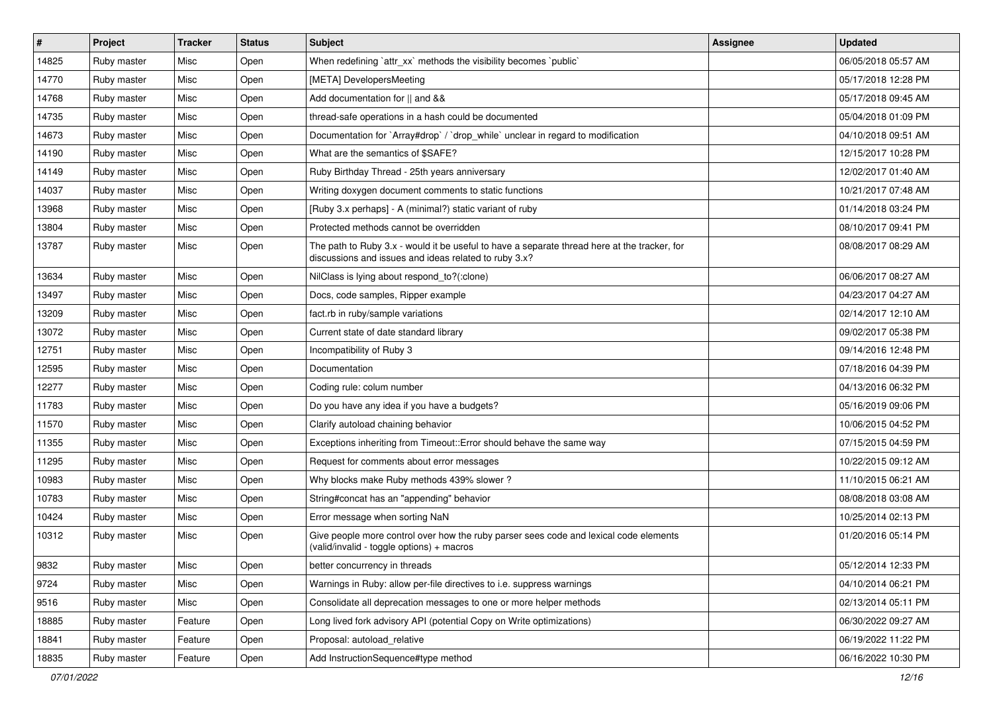| $\vert$ # | Project     | <b>Tracker</b> | <b>Status</b> | <b>Subject</b>                                                                                                                                        | Assignee | <b>Updated</b>      |
|-----------|-------------|----------------|---------------|-------------------------------------------------------------------------------------------------------------------------------------------------------|----------|---------------------|
| 14825     | Ruby master | Misc           | Open          | When redefining `attr_xx` methods the visibility becomes `public`                                                                                     |          | 06/05/2018 05:57 AM |
| 14770     | Ruby master | Misc           | Open          | [META] DevelopersMeeting                                                                                                                              |          | 05/17/2018 12:28 PM |
| 14768     | Ruby master | Misc           | Open          | Add documentation for    and &&                                                                                                                       |          | 05/17/2018 09:45 AM |
| 14735     | Ruby master | Misc           | Open          | thread-safe operations in a hash could be documented                                                                                                  |          | 05/04/2018 01:09 PM |
| 14673     | Ruby master | Misc           | Open          | Documentation for `Array#drop` / `drop_while` unclear in regard to modification                                                                       |          | 04/10/2018 09:51 AM |
| 14190     | Ruby master | Misc           | Open          | What are the semantics of \$SAFE?                                                                                                                     |          | 12/15/2017 10:28 PM |
| 14149     | Ruby master | Misc           | Open          | Ruby Birthday Thread - 25th years anniversary                                                                                                         |          | 12/02/2017 01:40 AM |
| 14037     | Ruby master | Misc           | Open          | Writing doxygen document comments to static functions                                                                                                 |          | 10/21/2017 07:48 AM |
| 13968     | Ruby master | Misc           | Open          | [Ruby 3.x perhaps] - A (minimal?) static variant of ruby                                                                                              |          | 01/14/2018 03:24 PM |
| 13804     | Ruby master | Misc           | Open          | Protected methods cannot be overridden                                                                                                                |          | 08/10/2017 09:41 PM |
| 13787     | Ruby master | Misc           | Open          | The path to Ruby 3.x - would it be useful to have a separate thread here at the tracker, for<br>discussions and issues and ideas related to ruby 3.x? |          | 08/08/2017 08:29 AM |
| 13634     | Ruby master | Misc           | Open          | NilClass is lying about respond_to?(:clone)                                                                                                           |          | 06/06/2017 08:27 AM |
| 13497     | Ruby master | Misc           | Open          | Docs, code samples, Ripper example                                                                                                                    |          | 04/23/2017 04:27 AM |
| 13209     | Ruby master | Misc           | Open          | fact.rb in ruby/sample variations                                                                                                                     |          | 02/14/2017 12:10 AM |
| 13072     | Ruby master | Misc           | Open          | Current state of date standard library                                                                                                                |          | 09/02/2017 05:38 PM |
| 12751     | Ruby master | Misc           | Open          | Incompatibility of Ruby 3                                                                                                                             |          | 09/14/2016 12:48 PM |
| 12595     | Ruby master | Misc           | Open          | Documentation                                                                                                                                         |          | 07/18/2016 04:39 PM |
| 12277     | Ruby master | Misc           | Open          | Coding rule: colum number                                                                                                                             |          | 04/13/2016 06:32 PM |
| 11783     | Ruby master | Misc           | Open          | Do you have any idea if you have a budgets?                                                                                                           |          | 05/16/2019 09:06 PM |
| 11570     | Ruby master | Misc           | Open          | Clarify autoload chaining behavior                                                                                                                    |          | 10/06/2015 04:52 PM |
| 11355     | Ruby master | Misc           | Open          | Exceptions inheriting from Timeout:: Error should behave the same way                                                                                 |          | 07/15/2015 04:59 PM |
| 11295     | Ruby master | Misc           | Open          | Request for comments about error messages                                                                                                             |          | 10/22/2015 09:12 AM |
| 10983     | Ruby master | Misc           | Open          | Why blocks make Ruby methods 439% slower?                                                                                                             |          | 11/10/2015 06:21 AM |
| 10783     | Ruby master | Misc           | Open          | String#concat has an "appending" behavior                                                                                                             |          | 08/08/2018 03:08 AM |
| 10424     | Ruby master | Misc           | Open          | Error message when sorting NaN                                                                                                                        |          | 10/25/2014 02:13 PM |
| 10312     | Ruby master | Misc           | Open          | Give people more control over how the ruby parser sees code and lexical code elements<br>(valid/invalid - toggle options) + macros                    |          | 01/20/2016 05:14 PM |
| 9832      | Ruby master | Misc           | Open          | better concurrency in threads                                                                                                                         |          | 05/12/2014 12:33 PM |
| 9724      | Ruby master | Misc           | Open          | Warnings in Ruby: allow per-file directives to i.e. suppress warnings                                                                                 |          | 04/10/2014 06:21 PM |
| 9516      | Ruby master | Misc           | Open          | Consolidate all deprecation messages to one or more helper methods                                                                                    |          | 02/13/2014 05:11 PM |
| 18885     | Ruby master | Feature        | Open          | Long lived fork advisory API (potential Copy on Write optimizations)                                                                                  |          | 06/30/2022 09:27 AM |
| 18841     | Ruby master | Feature        | Open          | Proposal: autoload_relative                                                                                                                           |          | 06/19/2022 11:22 PM |
| 18835     | Ruby master | Feature        | Open          | Add InstructionSequence#type method                                                                                                                   |          | 06/16/2022 10:30 PM |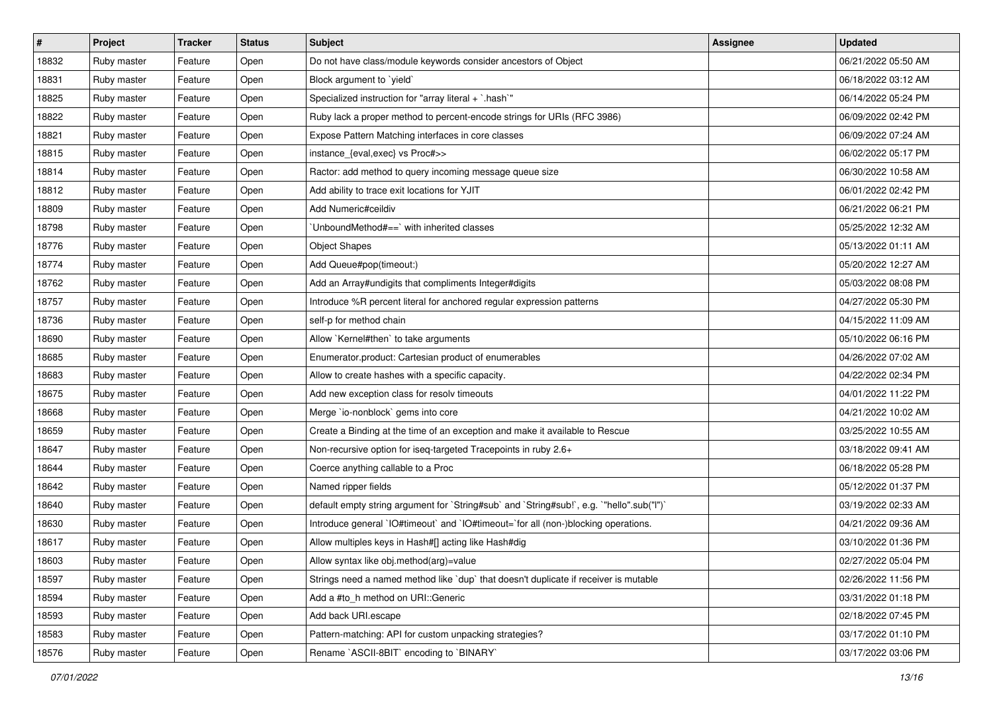| $\sharp$ | Project     | <b>Tracker</b> | <b>Status</b> | <b>Subject</b>                                                                            | Assignee | <b>Updated</b>      |
|----------|-------------|----------------|---------------|-------------------------------------------------------------------------------------------|----------|---------------------|
| 18832    | Ruby master | Feature        | Open          | Do not have class/module keywords consider ancestors of Object                            |          | 06/21/2022 05:50 AM |
| 18831    | Ruby master | Feature        | Open          | Block argument to `yield`                                                                 |          | 06/18/2022 03:12 AM |
| 18825    | Ruby master | Feature        | Open          | Specialized instruction for "array literal + `.hash`"                                     |          | 06/14/2022 05:24 PM |
| 18822    | Ruby master | Feature        | Open          | Ruby lack a proper method to percent-encode strings for URIs (RFC 3986)                   |          | 06/09/2022 02:42 PM |
| 18821    | Ruby master | Feature        | Open          | Expose Pattern Matching interfaces in core classes                                        |          | 06/09/2022 07:24 AM |
| 18815    | Ruby master | Feature        | Open          | instance_{eval,exec} vs Proc#>>                                                           |          | 06/02/2022 05:17 PM |
| 18814    | Ruby master | Feature        | Open          | Ractor: add method to query incoming message queue size                                   |          | 06/30/2022 10:58 AM |
| 18812    | Ruby master | Feature        | Open          | Add ability to trace exit locations for YJIT                                              |          | 06/01/2022 02:42 PM |
| 18809    | Ruby master | Feature        | Open          | Add Numeric#ceildiv                                                                       |          | 06/21/2022 06:21 PM |
| 18798    | Ruby master | Feature        | Open          | 'UnboundMethod#==' with inherited classes                                                 |          | 05/25/2022 12:32 AM |
| 18776    | Ruby master | Feature        | Open          | <b>Object Shapes</b>                                                                      |          | 05/13/2022 01:11 AM |
| 18774    | Ruby master | Feature        | Open          | Add Queue#pop(timeout:)                                                                   |          | 05/20/2022 12:27 AM |
| 18762    | Ruby master | Feature        | Open          | Add an Array#undigits that compliments Integer#digits                                     |          | 05/03/2022 08:08 PM |
| 18757    | Ruby master | Feature        | Open          | Introduce %R percent literal for anchored regular expression patterns                     |          | 04/27/2022 05:30 PM |
| 18736    | Ruby master | Feature        | Open          | self-p for method chain                                                                   |          | 04/15/2022 11:09 AM |
| 18690    | Ruby master | Feature        | Open          | Allow `Kernel#then` to take arguments                                                     |          | 05/10/2022 06:16 PM |
| 18685    | Ruby master | Feature        | Open          | Enumerator.product: Cartesian product of enumerables                                      |          | 04/26/2022 07:02 AM |
| 18683    | Ruby master | Feature        | Open          | Allow to create hashes with a specific capacity.                                          |          | 04/22/2022 02:34 PM |
| 18675    | Ruby master | Feature        | Open          | Add new exception class for resolv timeouts                                               |          | 04/01/2022 11:22 PM |
| 18668    | Ruby master | Feature        | Open          | Merge `io-nonblock` gems into core                                                        |          | 04/21/2022 10:02 AM |
| 18659    | Ruby master | Feature        | Open          | Create a Binding at the time of an exception and make it available to Rescue              |          | 03/25/2022 10:55 AM |
| 18647    | Ruby master | Feature        | Open          | Non-recursive option for iseq-targeted Tracepoints in ruby 2.6+                           |          | 03/18/2022 09:41 AM |
| 18644    | Ruby master | Feature        | Open          | Coerce anything callable to a Proc                                                        |          | 06/18/2022 05:28 PM |
| 18642    | Ruby master | Feature        | Open          | Named ripper fields                                                                       |          | 05/12/2022 01:37 PM |
| 18640    | Ruby master | Feature        | Open          | default empty string argument for `String#sub` and `String#sub!`, e.g. `"hello".sub("I")` |          | 03/19/2022 02:33 AM |
| 18630    | Ruby master | Feature        | Open          | Introduce general `IO#timeout` and `IO#timeout=`for all (non-)blocking operations.        |          | 04/21/2022 09:36 AM |
| 18617    | Ruby master | Feature        | Open          | Allow multiples keys in Hash#[] acting like Hash#dig                                      |          | 03/10/2022 01:36 PM |
| 18603    | Ruby master | Feature        | Open          | Allow syntax like obj.method(arg)=value                                                   |          | 02/27/2022 05:04 PM |
| 18597    | Ruby master | Feature        | Open          | Strings need a named method like `dup` that doesn't duplicate if receiver is mutable      |          | 02/26/2022 11:56 PM |
| 18594    | Ruby master | Feature        | Open          | Add a #to_h method on URI::Generic                                                        |          | 03/31/2022 01:18 PM |
| 18593    | Ruby master | Feature        | Open          | Add back URI.escape                                                                       |          | 02/18/2022 07:45 PM |
| 18583    | Ruby master | Feature        | Open          | Pattern-matching: API for custom unpacking strategies?                                    |          | 03/17/2022 01:10 PM |
| 18576    | Ruby master | Feature        | Open          | Rename `ASCII-8BIT` encoding to `BINARY`                                                  |          | 03/17/2022 03:06 PM |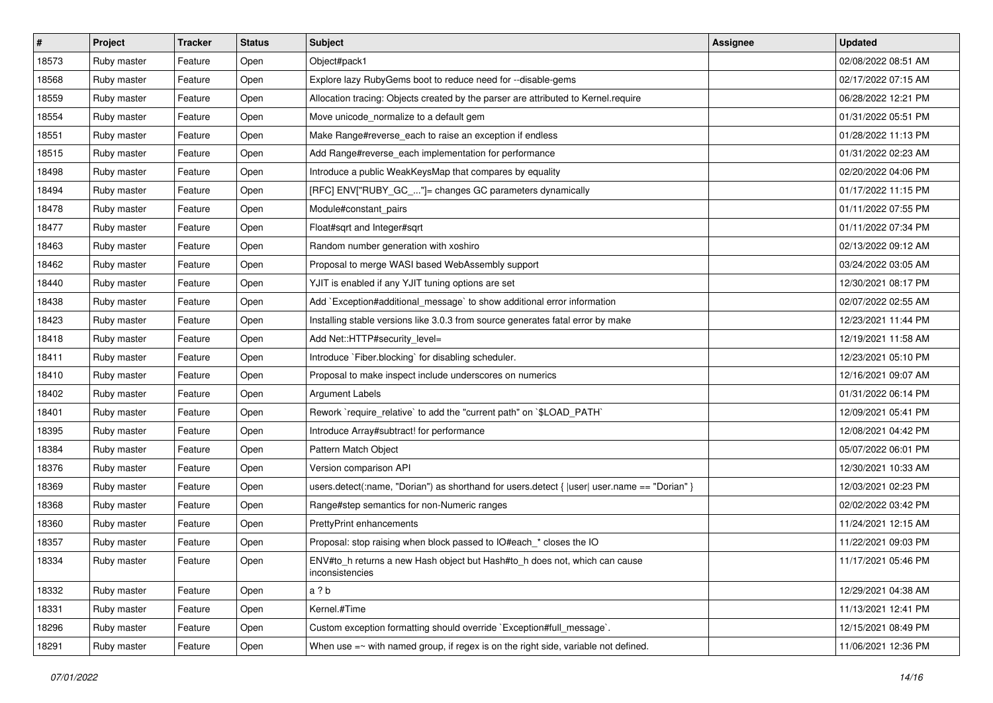| #     | Project     | <b>Tracker</b> | <b>Status</b> | <b>Subject</b>                                                                                 | Assignee | <b>Updated</b>      |
|-------|-------------|----------------|---------------|------------------------------------------------------------------------------------------------|----------|---------------------|
| 18573 | Ruby master | Feature        | Open          | Object#pack1                                                                                   |          | 02/08/2022 08:51 AM |
| 18568 | Ruby master | Feature        | Open          | Explore lazy RubyGems boot to reduce need for --disable-gems                                   |          | 02/17/2022 07:15 AM |
| 18559 | Ruby master | Feature        | Open          | Allocation tracing: Objects created by the parser are attributed to Kernel.require             |          | 06/28/2022 12:21 PM |
| 18554 | Ruby master | Feature        | Open          | Move unicode_normalize to a default gem                                                        |          | 01/31/2022 05:51 PM |
| 18551 | Ruby master | Feature        | Open          | Make Range#reverse_each to raise an exception if endless                                       |          | 01/28/2022 11:13 PM |
| 18515 | Ruby master | Feature        | Open          | Add Range#reverse_each implementation for performance                                          |          | 01/31/2022 02:23 AM |
| 18498 | Ruby master | Feature        | Open          | Introduce a public WeakKeysMap that compares by equality                                       |          | 02/20/2022 04:06 PM |
| 18494 | Ruby master | Feature        | Open          | [RFC] ENV["RUBY_GC_"]= changes GC parameters dynamically                                       |          | 01/17/2022 11:15 PM |
| 18478 | Ruby master | Feature        | Open          | Module#constant_pairs                                                                          |          | 01/11/2022 07:55 PM |
| 18477 | Ruby master | Feature        | Open          | Float#sqrt and Integer#sqrt                                                                    |          | 01/11/2022 07:34 PM |
| 18463 | Ruby master | Feature        | Open          | Random number generation with xoshiro                                                          |          | 02/13/2022 09:12 AM |
| 18462 | Ruby master | Feature        | Open          | Proposal to merge WASI based WebAssembly support                                               |          | 03/24/2022 03:05 AM |
| 18440 | Ruby master | Feature        | Open          | YJIT is enabled if any YJIT tuning options are set                                             |          | 12/30/2021 08:17 PM |
| 18438 | Ruby master | Feature        | Open          | Add `Exception#additional_message` to show additional error information                        |          | 02/07/2022 02:55 AM |
| 18423 | Ruby master | Feature        | Open          | Installing stable versions like 3.0.3 from source generates fatal error by make                |          | 12/23/2021 11:44 PM |
| 18418 | Ruby master | Feature        | Open          | Add Net::HTTP#security_level=                                                                  |          | 12/19/2021 11:58 AM |
| 18411 | Ruby master | Feature        | Open          | Introduce `Fiber.blocking` for disabling scheduler.                                            |          | 12/23/2021 05:10 PM |
| 18410 | Ruby master | Feature        | Open          | Proposal to make inspect include underscores on numerics                                       |          | 12/16/2021 09:07 AM |
| 18402 | Ruby master | Feature        | Open          | <b>Argument Labels</b>                                                                         |          | 01/31/2022 06:14 PM |
| 18401 | Ruby master | Feature        | Open          | Rework `require_relative` to add the "current path" on `\$LOAD_PATH`                           |          | 12/09/2021 05:41 PM |
| 18395 | Ruby master | Feature        | Open          | Introduce Array#subtract! for performance                                                      |          | 12/08/2021 04:42 PM |
| 18384 | Ruby master | Feature        | Open          | Pattern Match Object                                                                           |          | 05/07/2022 06:01 PM |
| 18376 | Ruby master | Feature        | Open          | Version comparison API                                                                         |          | 12/30/2021 10:33 AM |
| 18369 | Ruby master | Feature        | Open          | users.detect(:name, "Dorian") as shorthand for users.detect { $ user $ user.name == "Dorian" } |          | 12/03/2021 02:23 PM |
| 18368 | Ruby master | Feature        | Open          | Range#step semantics for non-Numeric ranges                                                    |          | 02/02/2022 03:42 PM |
| 18360 | Ruby master | Feature        | Open          | PrettyPrint enhancements                                                                       |          | 11/24/2021 12:15 AM |
| 18357 | Ruby master | Feature        | Open          | Proposal: stop raising when block passed to IO#each_* closes the IO                            |          | 11/22/2021 09:03 PM |
| 18334 | Ruby master | Feature        | Open          | ENV#to_h returns a new Hash object but Hash#to_h does not, which can cause<br>inconsistencies  |          | 11/17/2021 05:46 PM |
| 18332 | Ruby master | Feature        | Open          | a ? b                                                                                          |          | 12/29/2021 04:38 AM |
| 18331 | Ruby master | Feature        | Open          | Kernel.#Time                                                                                   |          | 11/13/2021 12:41 PM |
| 18296 | Ruby master | Feature        | Open          | Custom exception formatting should override `Exception#full_message`.                          |          | 12/15/2021 08:49 PM |
| 18291 | Ruby master | Feature        | Open          | When use $=\sim$ with named group, if regex is on the right side, variable not defined.        |          | 11/06/2021 12:36 PM |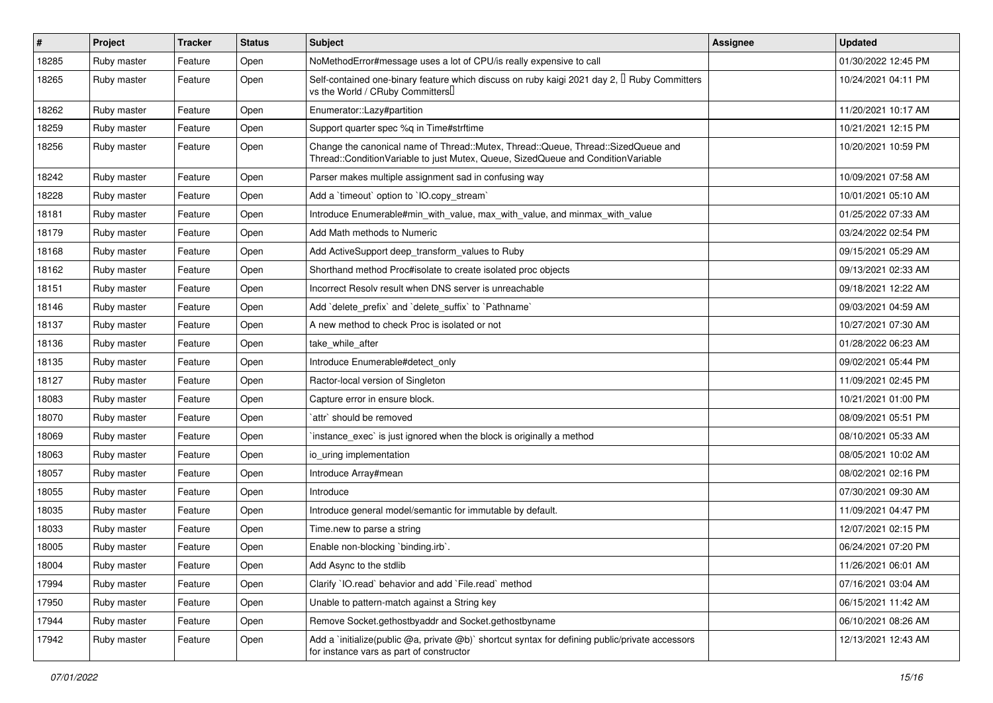| #     | Project     | <b>Tracker</b> | <b>Status</b> | <b>Subject</b>                                                                                                                                                        | <b>Assignee</b> | <b>Updated</b>      |
|-------|-------------|----------------|---------------|-----------------------------------------------------------------------------------------------------------------------------------------------------------------------|-----------------|---------------------|
| 18285 | Ruby master | Feature        | Open          | NoMethodError#message uses a lot of CPU/is really expensive to call                                                                                                   |                 | 01/30/2022 12:45 PM |
| 18265 | Ruby master | Feature        | Open          | Self-contained one-binary feature which discuss on ruby kaigi 2021 day 2, $\Box$ Ruby Committers<br>vs the World / CRuby Committers                                   |                 | 10/24/2021 04:11 PM |
| 18262 | Ruby master | Feature        | Open          | Enumerator::Lazy#partition                                                                                                                                            |                 | 11/20/2021 10:17 AM |
| 18259 | Ruby master | Feature        | Open          | Support quarter spec %q in Time#strftime                                                                                                                              |                 | 10/21/2021 12:15 PM |
| 18256 | Ruby master | Feature        | Open          | Change the canonical name of Thread::Mutex, Thread::Queue, Thread::SizedQueue and<br>Thread::ConditionVariable to just Mutex, Queue, SizedQueue and ConditionVariable |                 | 10/20/2021 10:59 PM |
| 18242 | Ruby master | Feature        | Open          | Parser makes multiple assignment sad in confusing way                                                                                                                 |                 | 10/09/2021 07:58 AM |
| 18228 | Ruby master | Feature        | Open          | Add a 'timeout' option to 'IO.copy_stream'                                                                                                                            |                 | 10/01/2021 05:10 AM |
| 18181 | Ruby master | Feature        | Open          | Introduce Enumerable#min_with_value, max_with_value, and minmax_with_value                                                                                            |                 | 01/25/2022 07:33 AM |
| 18179 | Ruby master | Feature        | Open          | Add Math methods to Numeric                                                                                                                                           |                 | 03/24/2022 02:54 PM |
| 18168 | Ruby master | Feature        | Open          | Add ActiveSupport deep_transform_values to Ruby                                                                                                                       |                 | 09/15/2021 05:29 AM |
| 18162 | Ruby master | Feature        | Open          | Shorthand method Proc#isolate to create isolated proc objects                                                                                                         |                 | 09/13/2021 02:33 AM |
| 18151 | Ruby master | Feature        | Open          | Incorrect Resolv result when DNS server is unreachable                                                                                                                |                 | 09/18/2021 12:22 AM |
| 18146 | Ruby master | Feature        | Open          | Add `delete prefix` and `delete suffix` to `Pathname`                                                                                                                 |                 | 09/03/2021 04:59 AM |
| 18137 | Ruby master | Feature        | Open          | A new method to check Proc is isolated or not                                                                                                                         |                 | 10/27/2021 07:30 AM |
| 18136 | Ruby master | Feature        | Open          | take while after                                                                                                                                                      |                 | 01/28/2022 06:23 AM |
| 18135 | Ruby master | Feature        | Open          | Introduce Enumerable#detect only                                                                                                                                      |                 | 09/02/2021 05:44 PM |
| 18127 | Ruby master | Feature        | Open          | Ractor-local version of Singleton                                                                                                                                     |                 | 11/09/2021 02:45 PM |
| 18083 | Ruby master | Feature        | Open          | Capture error in ensure block.                                                                                                                                        |                 | 10/21/2021 01:00 PM |
| 18070 | Ruby master | Feature        | Open          | `attr` should be removed                                                                                                                                              |                 | 08/09/2021 05:51 PM |
| 18069 | Ruby master | Feature        | Open          | 'instance_exec' is just ignored when the block is originally a method                                                                                                 |                 | 08/10/2021 05:33 AM |
| 18063 | Ruby master | Feature        | Open          | io uring implementation                                                                                                                                               |                 | 08/05/2021 10:02 AM |
| 18057 | Ruby master | Feature        | Open          | Introduce Array#mean                                                                                                                                                  |                 | 08/02/2021 02:16 PM |
| 18055 | Ruby master | Feature        | Open          | Introduce                                                                                                                                                             |                 | 07/30/2021 09:30 AM |
| 18035 | Ruby master | Feature        | Open          | Introduce general model/semantic for immutable by default.                                                                                                            |                 | 11/09/2021 04:47 PM |
| 18033 | Ruby master | Feature        | Open          | Time.new to parse a string                                                                                                                                            |                 | 12/07/2021 02:15 PM |
| 18005 | Ruby master | Feature        | Open          | Enable non-blocking 'binding.irb'.                                                                                                                                    |                 | 06/24/2021 07:20 PM |
| 18004 | Ruby master | Feature        | Open          | Add Async to the stdlib                                                                                                                                               |                 | 11/26/2021 06:01 AM |
| 17994 | Ruby master | Feature        | Open          | Clarify 'IO.read' behavior and add 'File.read' method                                                                                                                 |                 | 07/16/2021 03:04 AM |
| 17950 | Ruby master | Feature        | Open          | Unable to pattern-match against a String key                                                                                                                          |                 | 06/15/2021 11:42 AM |
| 17944 | Ruby master | Feature        | Open          | Remove Socket.gethostbyaddr and Socket.gethostbyname                                                                                                                  |                 | 06/10/2021 08:26 AM |
| 17942 | Ruby master | Feature        | Open          | Add a `initialize(public @a, private @b)` shortcut syntax for defining public/private accessors<br>for instance vars as part of constructor                           |                 | 12/13/2021 12:43 AM |